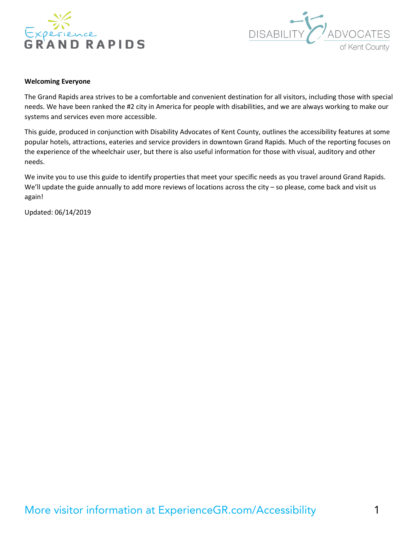



#### **Welcoming Everyone**

The Grand Rapids area strives to be a comfortable and convenient destination for all visitors, including those with special needs. We have been ranked the #2 city in America for people with disabilities, and we are always working to make our systems and services even more accessible.

This guide, produced in conjunction with Disability Advocates of Kent County, outlines the accessibility features at some popular hotels, attractions, eateries and service providers in downtown Grand Rapids. Much of the reporting focuses on the experience of the wheelchair user, but there is also useful information for those with visual, auditory and other needs.

We invite you to use this guide to identify properties that meet your specific needs as you travel around Grand Rapids. We'll update the guide annually to add more reviews of locations across the city – so please, come back and visit us again!

Updated: 06/14/2019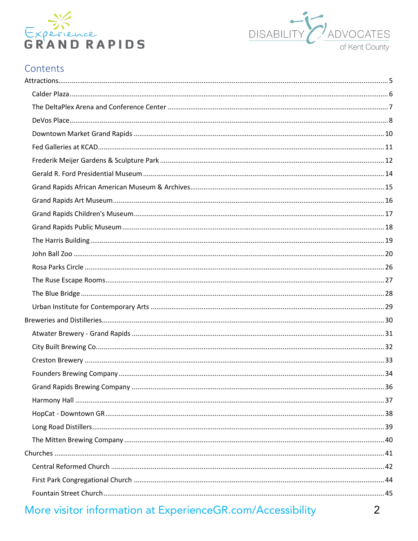



#### Contents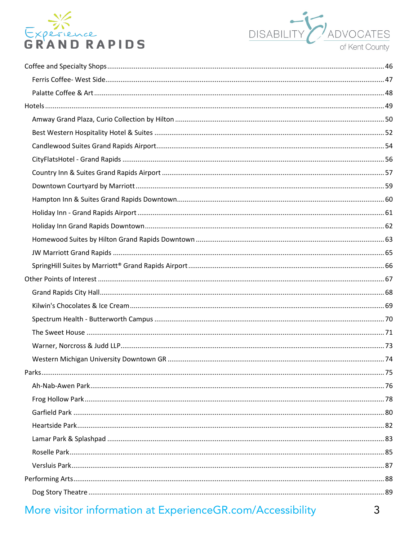

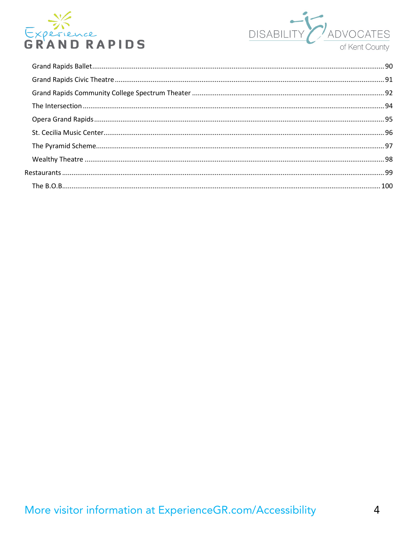

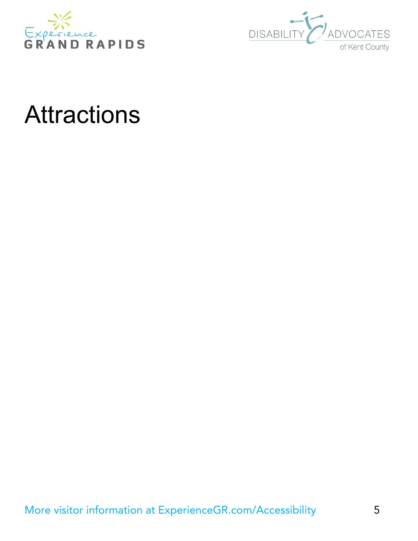



# <span id="page-4-0"></span>Attractions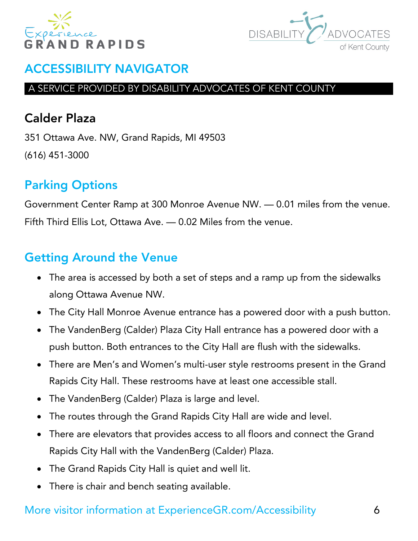



#### A SERVICE PROVIDED BY DISABILITY ADVOCATES OF KENT COUNTY

# <span id="page-5-0"></span>Calder Plaza

351 Ottawa Ave. NW, Grand Rapids, MI 49503 (616) 451-3000

# Parking Options

Government Center Ramp at 300 Monroe Avenue NW. — 0.01 miles from the venue. Fifth Third Ellis Lot, Ottawa Ave. — 0.02 Miles from the venue.

# Getting Around the Venue

- The area is accessed by both a set of steps and a ramp up from the sidewalks along Ottawa Avenue NW.
- The City Hall Monroe Avenue entrance has a powered door with a push button.
- The VandenBerg (Calder) Plaza City Hall entrance has a powered door with a push button. Both entrances to the City Hall are flush with the sidewalks.
- There are Men's and Women's multi-user style restrooms present in the Grand Rapids City Hall. These restrooms have at least one accessible stall.
- The VandenBerg (Calder) Plaza is large and level.
- The routes through the Grand Rapids City Hall are wide and level.
- There are elevators that provides access to all floors and connect the Grand Rapids City Hall with the VandenBerg (Calder) Plaza.
- The Grand Rapids City Hall is quiet and well lit.
- There is chair and bench seating available.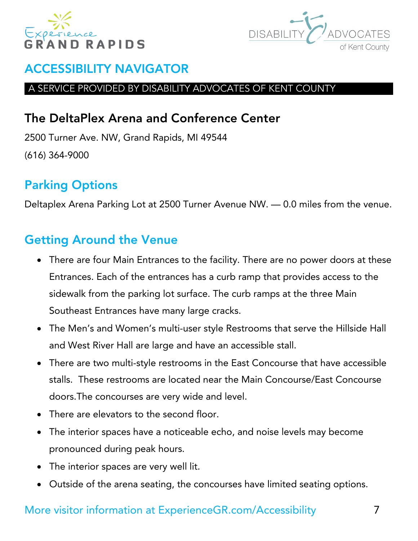



#### A SERVICE PROVIDED BY DISABILITY ADVOCATES OF KENT COUNTY

# <span id="page-6-0"></span>The DeltaPlex Arena and Conference Center

2500 Turner Ave. NW, Grand Rapids, MI 49544 (616) 364-9000

# Parking Options

Deltaplex Arena Parking Lot at 2500 Turner Avenue NW. — 0.0 miles from the venue.

# Getting Around the Venue

- There are four Main Entrances to the facility. There are no power doors at these Entrances. Each of the entrances has a curb ramp that provides access to the sidewalk from the parking lot surface. The curb ramps at the three Main Southeast Entrances have many large cracks.
- The Men's and Women's multi-user style Restrooms that serve the Hillside Hall and West River Hall are large and have an accessible stall.
- There are two multi-style restrooms in the East Concourse that have accessible stalls. These restrooms are located near the Main Concourse/East Concourse doors.The concourses are very wide and level.
- There are elevators to the second floor.
- The interior spaces have a noticeable echo, and noise levels may become pronounced during peak hours.
- The interior spaces are very well lit.
- Outside of the arena seating, the concourses have limited seating options.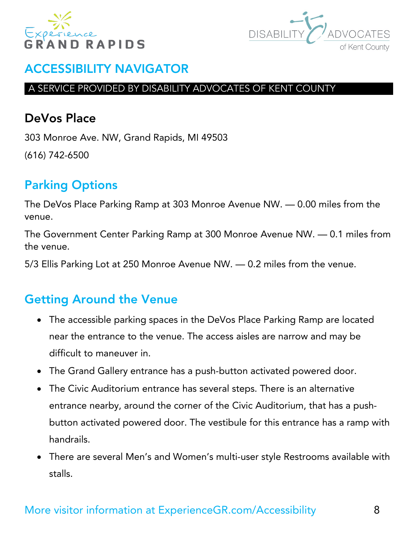



#### A SERVICE PROVIDED BY DISABILITY ADVOCATES OF KENT COUNTY

### <span id="page-7-0"></span>DeVos Place

303 Monroe Ave. NW, Grand Rapids, MI 49503 (616) 742-6500

# Parking Options

The DeVos Place Parking Ramp at 303 Monroe Avenue NW. — 0.00 miles from the venue.

The Government Center Parking Ramp at 300 Monroe Avenue NW. — 0.1 miles from the venue.

5/3 Ellis Parking Lot at 250 Monroe Avenue NW. — 0.2 miles from the venue.

- The accessible parking spaces in the DeVos Place Parking Ramp are located near the entrance to the venue. The access aisles are narrow and may be difficult to maneuver in.
- The Grand Gallery entrance has a push-button activated powered door.
- The Civic Auditorium entrance has several steps. There is an alternative entrance nearby, around the corner of the Civic Auditorium, that has a pushbutton activated powered door. The vestibule for this entrance has a ramp with handrails.
- There are several Men's and Women's multi-user style Restrooms available with stalls.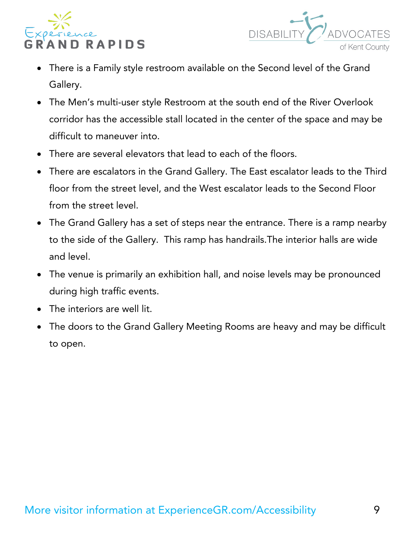



- There is a Family style restroom available on the Second level of the Grand Gallery.
- The Men's multi-user style Restroom at the south end of the River Overlook corridor has the accessible stall located in the center of the space and may be difficult to maneuver into.
- There are several elevators that lead to each of the floors.
- There are escalators in the Grand Gallery. The East escalator leads to the Third floor from the street level, and the West escalator leads to the Second Floor from the street level.
- The Grand Gallery has a set of steps near the entrance. There is a ramp nearby to the side of the Gallery. This ramp has handrails.The interior halls are wide and level.
- The venue is primarily an exhibition hall, and noise levels may be pronounced during high traffic events.
- The interiors are well lit.
- The doors to the Grand Gallery Meeting Rooms are heavy and may be difficult to open.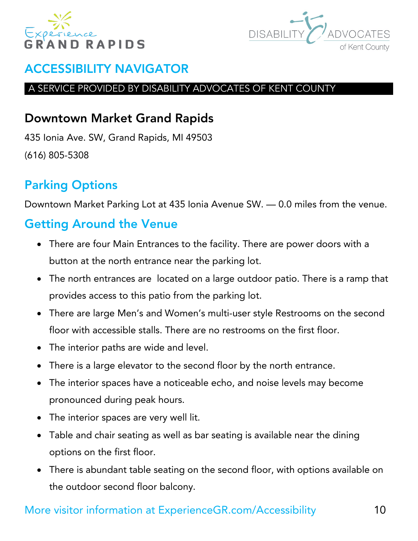



#### A SERVICE PROVIDED BY DISABILITY ADVOCATES OF KENT COUNTY

# <span id="page-9-0"></span>Downtown Market Grand Rapids

435 Ionia Ave. SW, Grand Rapids, MI 49503 (616) 805-5308

# Parking Options

Downtown Market Parking Lot at 435 Ionia Avenue SW. — 0.0 miles from the venue.

# Getting Around the Venue

- There are four Main Entrances to the facility. There are power doors with a button at the north entrance near the parking lot.
- The north entrances are located on a large outdoor patio. There is a ramp that provides access to this patio from the parking lot.
- There are large Men's and Women's multi-user style Restrooms on the second floor with accessible stalls. There are no restrooms on the first floor.
- The interior paths are wide and level.
- There is a large elevator to the second floor by the north entrance.
- The interior spaces have a noticeable echo, and noise levels may become pronounced during peak hours.
- The interior spaces are very well lit.
- Table and chair seating as well as bar seating is available near the dining options on the first floor.
- There is abundant table seating on the second floor, with options available on the outdoor second floor balcony.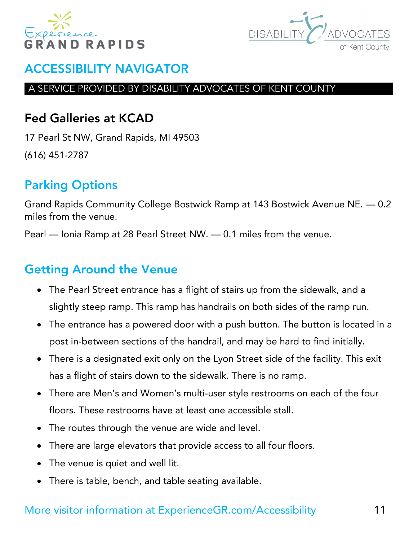



#### A SERVICE PROVIDED BY DISABILITY ADVOCATES OF KENT COUNTY

# <span id="page-10-0"></span>Fed Galleries at KCAD

17 Pearl St NW, Grand Rapids, MI 49503 (616) 451-2787

# Parking Options

Grand Rapids Community College Bostwick Ramp at 143 Bostwick Avenue NE. — 0.2 miles from the venue.

Pearl — Ionia Ramp at 28 Pearl Street NW. — 0.1 miles from the venue.

# Getting Around the Venue

- The Pearl Street entrance has a flight of stairs up from the sidewalk, and a slightly steep ramp. This ramp has handrails on both sides of the ramp run.
- The entrance has a powered door with a push button. The button is located in a post in-between sections of the handrail, and may be hard to find initially.
- There is a designated exit only on the Lyon Street side of the facility. This exit has a flight of stairs down to the sidewalk. There is no ramp.
- There are Men's and Women's multi-user style restrooms on each of the four floors. These restrooms have at least one accessible stall.
- The routes through the venue are wide and level.
- There are large elevators that provide access to all four floors.
- The venue is quiet and well lit.
- There is table, bench, and table seating available.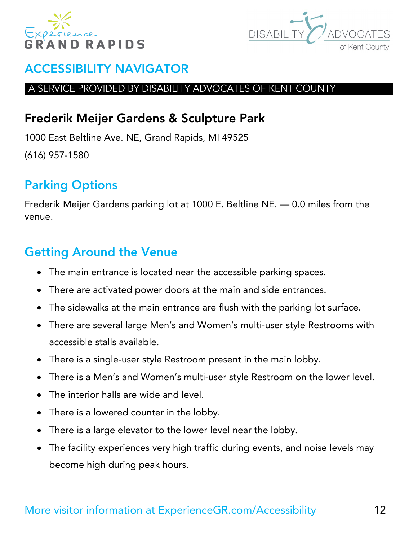



#### A SERVICE PROVIDED BY DISABILITY ADVOCATES OF KENT COUNTY

# <span id="page-11-0"></span>Frederik Meijer Gardens & Sculpture Park

1000 East Beltline Ave. NE, Grand Rapids, MI 49525 (616) 957-1580

# Parking Options

Frederik Meijer Gardens parking lot at 1000 E. Beltline NE. — 0.0 miles from the venue.

- The main entrance is located near the accessible parking spaces.
- There are activated power doors at the main and side entrances.
- The sidewalks at the main entrance are flush with the parking lot surface.
- There are several large Men's and Women's multi-user style Restrooms with accessible stalls available.
- There is a single-user style Restroom present in the main lobby.
- There is a Men's and Women's multi-user style Restroom on the lower level.
- The interior halls are wide and level.
- There is a lowered counter in the lobby.
- There is a large elevator to the lower level near the lobby.
- The facility experiences very high traffic during events, and noise levels may become high during peak hours.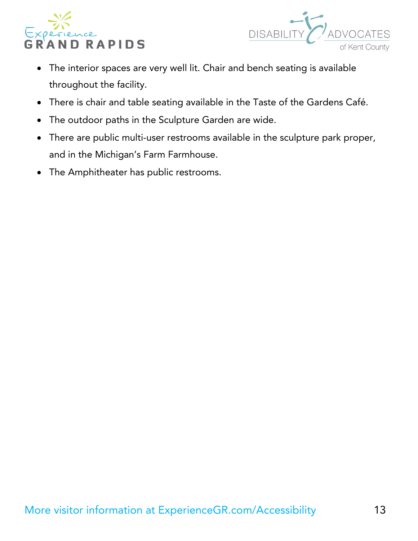



- The interior spaces are very well lit. Chair and bench seating is available throughout the facility.
- There is chair and table seating available in the Taste of the Gardens Café.
- The outdoor paths in the Sculpture Garden are wide.
- There are public multi-user restrooms available in the sculpture park proper, and in the Michigan's Farm Farmhouse.
- The Amphitheater has public restrooms.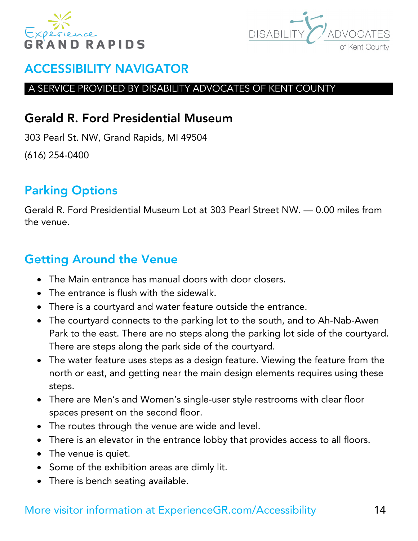



#### A SERVICE PROVIDED BY DISABILITY ADVOCATES OF KENT COUNTY

### <span id="page-13-0"></span>Gerald R. Ford Presidential Museum

303 Pearl St. NW, Grand Rapids, MI 49504 (616) 254-0400

# Parking Options

Gerald R. Ford Presidential Museum Lot at 303 Pearl Street NW. — 0.00 miles from the venue.

# Getting Around the Venue

- The Main entrance has manual doors with door closers.
- The entrance is flush with the sidewalk.
- There is a courtyard and water feature outside the entrance.
- The courtyard connects to the parking lot to the south, and to Ah-Nab-Awen Park to the east. There are no steps along the parking lot side of the courtyard. There are steps along the park side of the courtyard.
- The water feature uses steps as a design feature. Viewing the feature from the north or east, and getting near the main design elements requires using these steps.
- There are Men's and Women's single-user style restrooms with clear floor spaces present on the second floor.
- The routes through the venue are wide and level.
- There is an elevator in the entrance lobby that provides access to all floors.
- The venue is quiet.
- Some of the exhibition areas are dimly lit.
- There is bench seating available.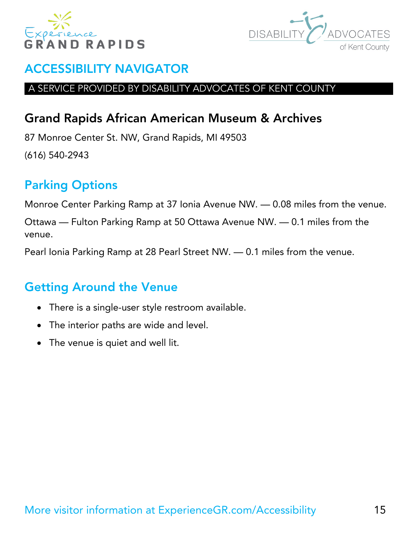



#### A SERVICE PROVIDED BY DISABILITY ADVOCATES OF KENT COUNTY

# <span id="page-14-0"></span>Grand Rapids African American Museum & Archives

87 Monroe Center St. NW, Grand Rapids, MI 49503 (616) 540-2943

# Parking Options

Monroe Center Parking Ramp at 37 Ionia Avenue NW. — 0.08 miles from the venue.

Ottawa — Fulton Parking Ramp at 50 Ottawa Avenue NW. — 0.1 miles from the venue.

Pearl Ionia Parking Ramp at 28 Pearl Street NW. — 0.1 miles from the venue.

- There is a single-user style restroom available.
- The interior paths are wide and level.
- The venue is quiet and well lit.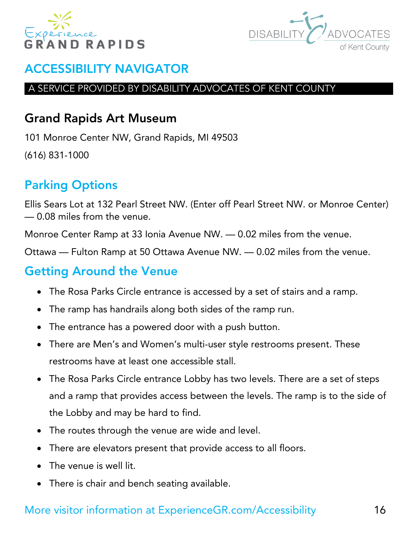



#### A SERVICE PROVIDED BY DISABILITY ADVOCATES OF KENT COUNTY

### <span id="page-15-0"></span>Grand Rapids Art Museum

101 Monroe Center NW, Grand Rapids, MI 49503 (616) 831-1000

# Parking Options

Ellis Sears Lot at 132 Pearl Street NW. (Enter off Pearl Street NW. or Monroe Center) — 0.08 miles from the venue.

Monroe Center Ramp at 33 Ionia Avenue NW. — 0.02 miles from the venue.

Ottawa — Fulton Ramp at 50 Ottawa Avenue NW. — 0.02 miles from the venue.

# Getting Around the Venue

- The Rosa Parks Circle entrance is accessed by a set of stairs and a ramp.
- The ramp has handrails along both sides of the ramp run.
- The entrance has a powered door with a push button.
- There are Men's and Women's multi-user style restrooms present. These restrooms have at least one accessible stall.
- The Rosa Parks Circle entrance Lobby has two levels. There are a set of steps and a ramp that provides access between the levels. The ramp is to the side of the Lobby and may be hard to find.
- The routes through the venue are wide and level.
- There are elevators present that provide access to all floors.
- The venue is well lit.
- There is chair and bench seating available.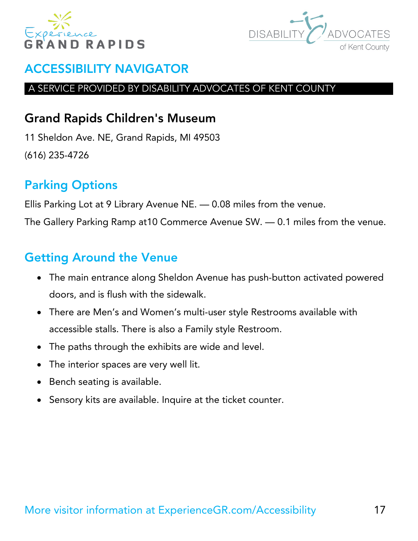



#### A SERVICE PROVIDED BY DISABILITY ADVOCATES OF KENT COUNTY

# <span id="page-16-0"></span>Grand Rapids Children's Museum

11 Sheldon Ave. NE, Grand Rapids, MI 49503 (616) 235-4726

# Parking Options

Ellis Parking Lot at 9 Library Avenue NE. — 0.08 miles from the venue.

The Gallery Parking Ramp at10 Commerce Avenue SW. — 0.1 miles from the venue.

- The main entrance along Sheldon Avenue has push-button activated powered doors, and is flush with the sidewalk.
- There are Men's and Women's multi-user style Restrooms available with accessible stalls. There is also a Family style Restroom.
- The paths through the exhibits are wide and level.
- The interior spaces are very well lit.
- Bench seating is available.
- Sensory kits are available. Inquire at the ticket counter.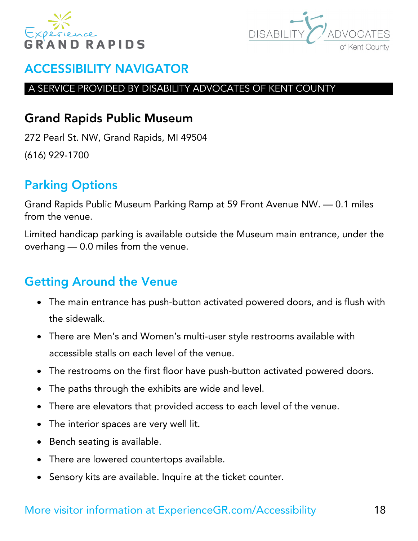



#### A SERVICE PROVIDED BY DISABILITY ADVOCATES OF KENT COUNTY

# <span id="page-17-0"></span>Grand Rapids Public Museum

272 Pearl St. NW, Grand Rapids, MI 49504 (616) 929-1700

# Parking Options

Grand Rapids Public Museum Parking Ramp at 59 Front Avenue NW. — 0.1 miles from the venue.

Limited handicap parking is available outside the Museum main entrance, under the overhang — 0.0 miles from the venue.

- The main entrance has push-button activated powered doors, and is flush with the sidewalk.
- There are Men's and Women's multi-user style restrooms available with accessible stalls on each level of the venue.
- The restrooms on the first floor have push-button activated powered doors.
- The paths through the exhibits are wide and level.
- There are elevators that provided access to each level of the venue.
- The interior spaces are very well lit.
- Bench seating is available.
- There are lowered countertops available.
- Sensory kits are available. Inquire at the ticket counter.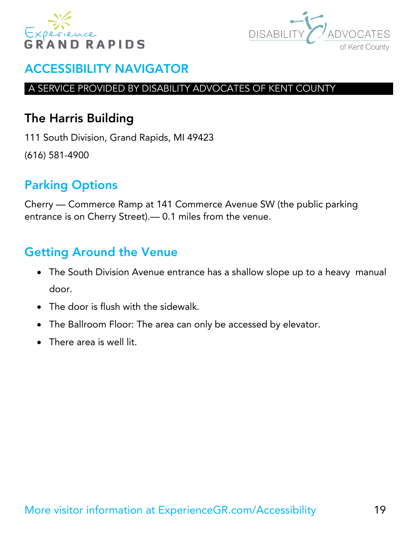



#### A SERVICE PROVIDED BY DISABILITY ADVOCATES OF KENT COUNTY

# <span id="page-18-0"></span>The Harris Building

111 South Division, Grand Rapids, MI 49423 (616) 581-4900

# Parking Options

Cherry — Commerce Ramp at 141 Commerce Avenue SW (the public parking entrance is on Cherry Street).— 0.1 miles from the venue.

- The South Division Avenue entrance has a shallow slope up to a heavy manual door.
- The door is flush with the sidewalk.
- The Ballroom Floor: The area can only be accessed by elevator.
- There area is well lit.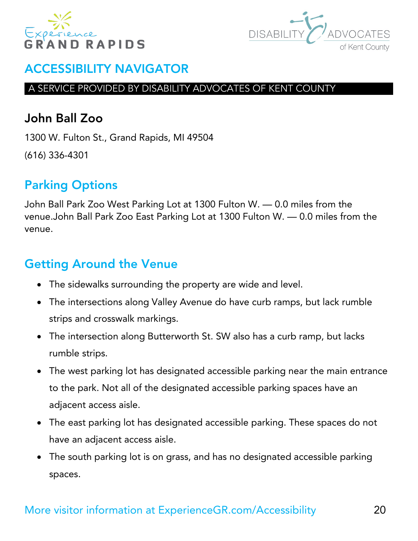



#### A SERVICE PROVIDED BY DISABILITY ADVOCATES OF KENT COUNTY

# <span id="page-19-0"></span>John Ball Zoo

1300 W. Fulton St., Grand Rapids, MI 49504 (616) 336-4301

# Parking Options

John Ball Park Zoo West Parking Lot at 1300 Fulton W. — 0.0 miles from the venue.John Ball Park Zoo East Parking Lot at 1300 Fulton W. — 0.0 miles from the venue.

- The sidewalks surrounding the property are wide and level.
- The intersections along Valley Avenue do have curb ramps, but lack rumble strips and crosswalk markings.
- The intersection along Butterworth St. SW also has a curb ramp, but lacks rumble strips.
- The west parking lot has designated accessible parking near the main entrance to the park. Not all of the designated accessible parking spaces have an adjacent access aisle.
- The east parking lot has designated accessible parking. These spaces do not have an adjacent access aisle.
- The south parking lot is on grass, and has no designated accessible parking spaces.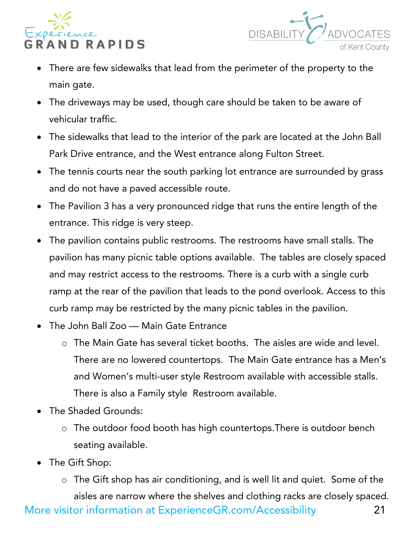



- There are few sidewalks that lead from the perimeter of the property to the main gate.
- The driveways may be used, though care should be taken to be aware of vehicular traffic.
- The sidewalks that lead to the interior of the park are located at the John Ball Park Drive entrance, and the West entrance along Fulton Street.
- The tennis courts near the south parking lot entrance are surrounded by grass and do not have a paved accessible route.
- The Pavilion 3 has a very pronounced ridge that runs the entire length of the entrance. This ridge is very steep.
- The pavilion contains public restrooms. The restrooms have small stalls. The pavilion has many picnic table options available. The tables are closely spaced and may restrict access to the restrooms. There is a curb with a single curb ramp at the rear of the pavilion that leads to the pond overlook. Access to this curb ramp may be restricted by the many picnic tables in the pavilion.
- The John Ball Zoo Main Gate Entrance
	- o The Main Gate has several ticket booths. The aisles are wide and level. There are no lowered countertops. The Main Gate entrance has a Men's and Women's multi-user style Restroom available with accessible stalls. There is also a Family style Restroom available.
- The Shaded Grounds:
	- o The outdoor food booth has high countertops.There is outdoor bench seating available.
- The Gift Shop:
- More visitor information at ExperienceGR.com/Accessibility 21 o The Gift shop has air conditioning, and is well lit and quiet. Some of the aisles are narrow where the shelves and clothing racks are closely spaced.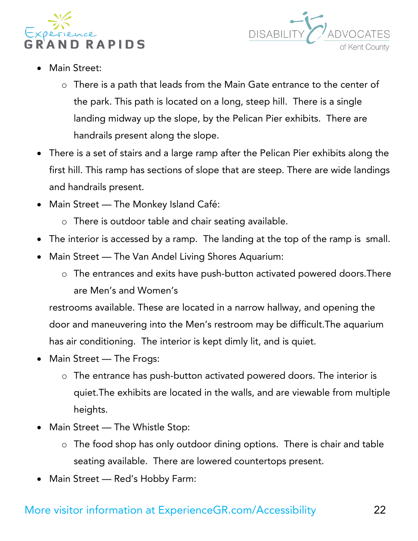



- Main Street:
	- o There is a path that leads from the Main Gate entrance to the center of the park. This path is located on a long, steep hill. There is a single landing midway up the slope, by the Pelican Pier exhibits. There are handrails present along the slope.
- There is a set of stairs and a large ramp after the Pelican Pier exhibits along the first hill. This ramp has sections of slope that are steep. There are wide landings and handrails present.
- Main Street The Monkey Island Café:
	- o There is outdoor table and chair seating available.
- The interior is accessed by a ramp. The landing at the top of the ramp is small.
- Main Street The Van Andel Living Shores Aquarium:
	- o The entrances and exits have push-button activated powered doors.There are Men's and Women's

restrooms available. These are located in a narrow hallway, and opening the door and maneuvering into the Men's restroom may be difficult.The aquarium has air conditioning. The interior is kept dimly lit, and is quiet.

- Main Street The Frogs:
	- o The entrance has push-button activated powered doors. The interior is quiet.The exhibits are located in the walls, and are viewable from multiple heights.
- Main Street The Whistle Stop:
	- o The food shop has only outdoor dining options. There is chair and table seating available. There are lowered countertops present.
- Main Street Red's Hobby Farm: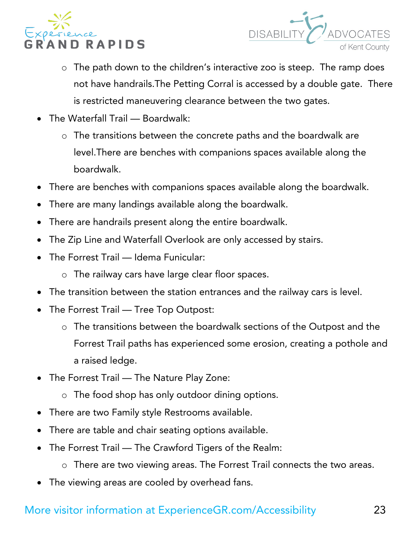



- o The path down to the children's interactive zoo is steep. The ramp does not have handrails.The Petting Corral is accessed by a double gate. There is restricted maneuvering clearance between the two gates.
- The Waterfall Trail Boardwalk:
	- o The transitions between the concrete paths and the boardwalk are level.There are benches with companions spaces available along the boardwalk.
- There are benches with companions spaces available along the boardwalk.
- There are many landings available along the boardwalk.
- There are handrails present along the entire boardwalk.
- The Zip Line and Waterfall Overlook are only accessed by stairs.
- The Forrest Trail Idema Funicular:
	- o The railway cars have large clear floor spaces.
- The transition between the station entrances and the railway cars is level.
- The Forrest Trail Tree Top Outpost:
	- o The transitions between the boardwalk sections of the Outpost and the Forrest Trail paths has experienced some erosion, creating a pothole and a raised ledge.
- The Forrest Trail The Nature Play Zone:
	- o The food shop has only outdoor dining options.
- There are two Family style Restrooms available.
- There are table and chair seating options available.
- The Forrest Trail The Crawford Tigers of the Realm:
	- o There are two viewing areas. The Forrest Trail connects the two areas.
- The viewing areas are cooled by overhead fans.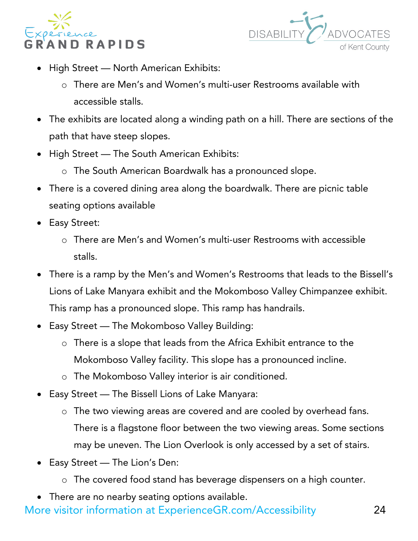



- High Street North American Exhibits:
	- o There are Men's and Women's multi-user Restrooms available with accessible stalls.
- The exhibits are located along a winding path on a hill. There are sections of the path that have steep slopes.
- High Street The South American Exhibits:
	- o The South American Boardwalk has a pronounced slope.
- There is a covered dining area along the boardwalk. There are picnic table seating options available
- Easy Street:
	- o There are Men's and Women's multi-user Restrooms with accessible stalls.
- There is a ramp by the Men's and Women's Restrooms that leads to the Bissell's Lions of Lake Manyara exhibit and the Mokomboso Valley Chimpanzee exhibit. This ramp has a pronounced slope. This ramp has handrails.
- Easy Street The Mokomboso Valley Building:
	- o There is a slope that leads from the Africa Exhibit entrance to the Mokomboso Valley facility. This slope has a pronounced incline.
	- o The Mokomboso Valley interior is air conditioned.
- Easy Street The Bissell Lions of Lake Manyara:
	- o The two viewing areas are covered and are cooled by overhead fans. There is a flagstone floor between the two viewing areas. Some sections may be uneven. The Lion Overlook is only accessed by a set of stairs.
- Easy Street The Lion's Den:
	- o The covered food stand has beverage dispensers on a high counter.
- There are no nearby seating options available.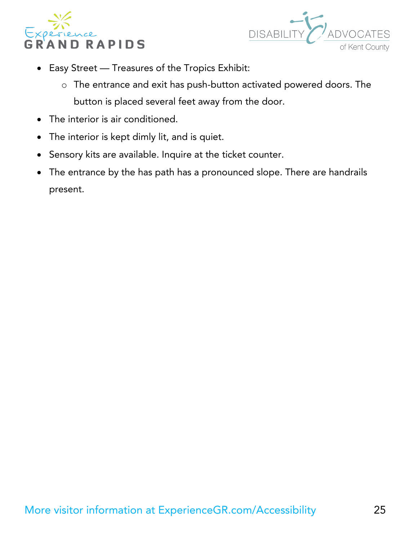



- Easy Street Treasures of the Tropics Exhibit:
	- o The entrance and exit has push-button activated powered doors. The button is placed several feet away from the door.
- The interior is air conditioned.
- The interior is kept dimly lit, and is quiet.
- Sensory kits are available. Inquire at the ticket counter.
- The entrance by the has path has a pronounced slope. There are handrails present.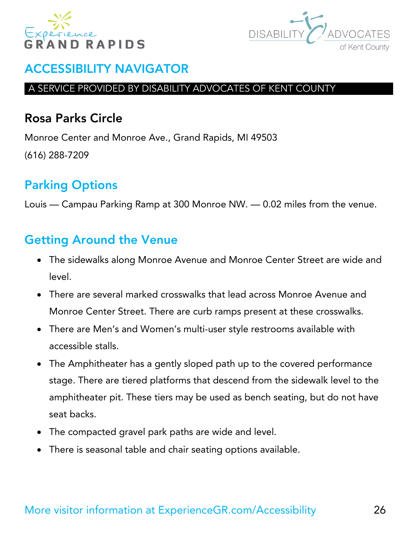



#### A SERVICE PROVIDED BY DISABILITY ADVOCATES OF KENT COUNTY

### <span id="page-25-0"></span>Rosa Parks Circle

Monroe Center and Monroe Ave., Grand Rapids, MI 49503 (616) 288-7209

# Parking Options

Louis — Campau Parking Ramp at 300 Monroe NW. — 0.02 miles from the venue.

- The sidewalks along Monroe Avenue and Monroe Center Street are wide and level.
- There are several marked crosswalks that lead across Monroe Avenue and Monroe Center Street. There are curb ramps present at these crosswalks.
- There are Men's and Women's multi-user style restrooms available with accessible stalls.
- The Amphitheater has a gently sloped path up to the covered performance stage. There are tiered platforms that descend from the sidewalk level to the amphitheater pit. These tiers may be used as bench seating, but do not have seat backs.
- The compacted gravel park paths are wide and level.
- There is seasonal table and chair seating options available.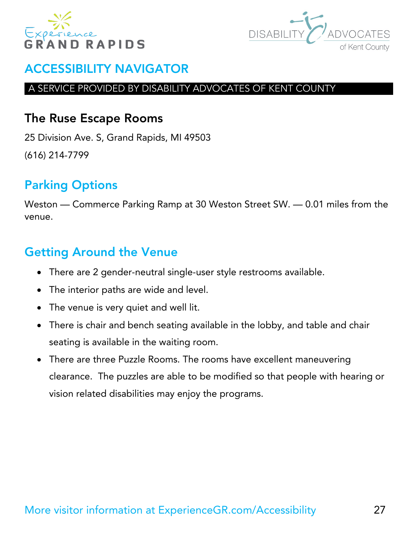



#### A SERVICE PROVIDED BY DISABILITY ADVOCATES OF KENT COUNTY

### <span id="page-26-0"></span>The Ruse Escape Rooms

25 Division Ave. S, Grand Rapids, MI 49503 (616) 214-7799

# Parking Options

Weston — Commerce Parking Ramp at 30 Weston Street SW. — 0.01 miles from the venue.

- There are 2 gender-neutral single-user style restrooms available.
- The interior paths are wide and level.
- The venue is very quiet and well lit.
- There is chair and bench seating available in the lobby, and table and chair seating is available in the waiting room.
- There are three Puzzle Rooms. The rooms have excellent maneuvering clearance. The puzzles are able to be modified so that people with hearing or vision related disabilities may enjoy the programs.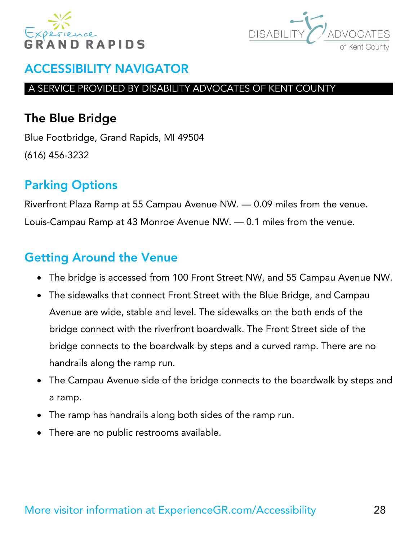



#### A SERVICE PROVIDED BY DISABILITY ADVOCATES OF KENT COUNTY

# <span id="page-27-0"></span>The Blue Bridge

Blue Footbridge, Grand Rapids, MI 49504 (616) 456-3232

# Parking Options

Riverfront Plaza Ramp at 55 Campau Avenue NW. — 0.09 miles from the venue. Louis-Campau Ramp at 43 Monroe Avenue NW. — 0.1 miles from the venue.

- The bridge is accessed from 100 Front Street NW, and 55 Campau Avenue NW.
- The sidewalks that connect Front Street with the Blue Bridge, and Campau Avenue are wide, stable and level. The sidewalks on the both ends of the bridge connect with the riverfront boardwalk. The Front Street side of the bridge connects to the boardwalk by steps and a curved ramp. There are no handrails along the ramp run.
- The Campau Avenue side of the bridge connects to the boardwalk by steps and a ramp.
- The ramp has handrails along both sides of the ramp run.
- There are no public restrooms available.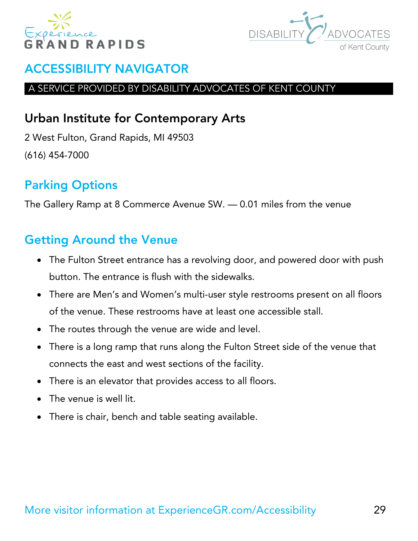



#### A SERVICE PROVIDED BY DISABILITY ADVOCATES OF KENT COUNTY

# <span id="page-28-0"></span>Urban Institute for Contemporary Arts

2 West Fulton, Grand Rapids, MI 49503 (616) 454-7000

# Parking Options

The Gallery Ramp at 8 Commerce Avenue SW. — 0.01 miles from the venue

- The Fulton Street entrance has a revolving door, and powered door with push button. The entrance is flush with the sidewalks.
- There are Men's and Women's multi-user style restrooms present on all floors of the venue. These restrooms have at least one accessible stall.
- The routes through the venue are wide and level.
- There is a long ramp that runs along the Fulton Street side of the venue that connects the east and west sections of the facility.
- There is an elevator that provides access to all floors.
- The venue is well lit.
- There is chair, bench and table seating available.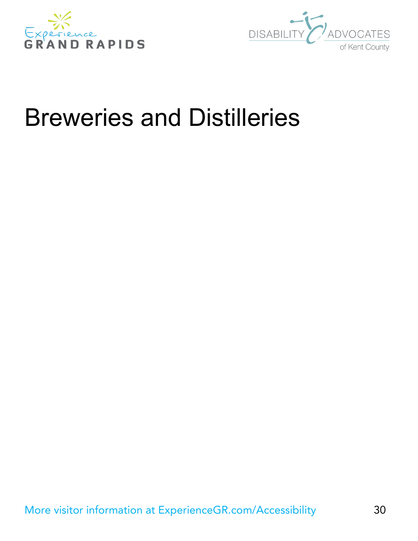



# <span id="page-29-0"></span>Breweries and Distilleries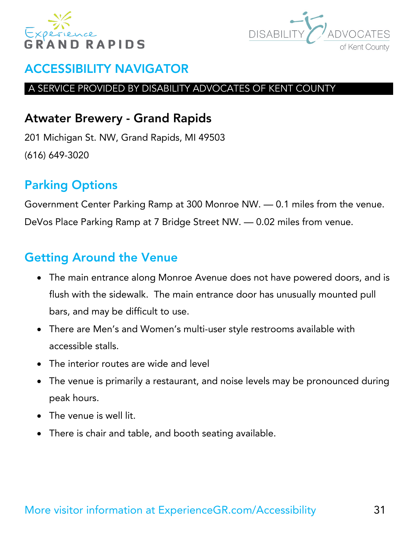



#### A SERVICE PROVIDED BY DISABILITY ADVOCATES OF KENT COUNTY

### <span id="page-30-0"></span>Atwater Brewery - Grand Rapids

201 Michigan St. NW, Grand Rapids, MI 49503 (616) 649-3020

# Parking Options

Government Center Parking Ramp at 300 Monroe NW. — 0.1 miles from the venue. DeVos Place Parking Ramp at 7 Bridge Street NW. — 0.02 miles from venue.

- The main entrance along Monroe Avenue does not have powered doors, and is flush with the sidewalk. The main entrance door has unusually mounted pull bars, and may be difficult to use.
- There are Men's and Women's multi-user style restrooms available with accessible stalls.
- The interior routes are wide and level
- The venue is primarily a restaurant, and noise levels may be pronounced during peak hours.
- The venue is well lit.
- There is chair and table, and booth seating available.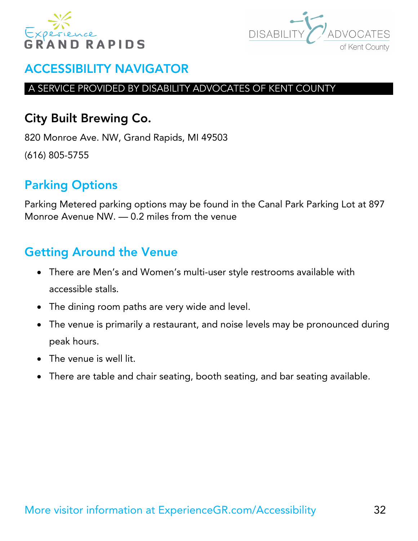



#### A SERVICE PROVIDED BY DISABILITY ADVOCATES OF KENT COUNTY

# <span id="page-31-0"></span>City Built Brewing Co.

820 Monroe Ave. NW, Grand Rapids, MI 49503 (616) 805-5755

# Parking Options

Parking Metered parking options may be found in the Canal Park Parking Lot at 897 Monroe Avenue NW. — 0.2 miles from the venue

- There are Men's and Women's multi-user style restrooms available with accessible stalls.
- The dining room paths are very wide and level.
- The venue is primarily a restaurant, and noise levels may be pronounced during peak hours.
- The venue is well lit.
- There are table and chair seating, booth seating, and bar seating available.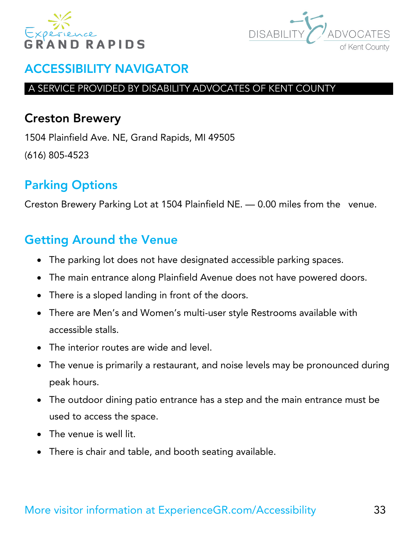



#### A SERVICE PROVIDED BY DISABILITY ADVOCATES OF KENT COUNTY

### <span id="page-32-0"></span>Creston Brewery

1504 Plainfield Ave. NE, Grand Rapids, MI 49505 (616) 805-4523

# Parking Options

Creston Brewery Parking Lot at 1504 Plainfield NE. — 0.00 miles from the venue.

- The parking lot does not have designated accessible parking spaces.
- The main entrance along Plainfield Avenue does not have powered doors.
- There is a sloped landing in front of the doors.
- There are Men's and Women's multi-user style Restrooms available with accessible stalls.
- The interior routes are wide and level.
- The venue is primarily a restaurant, and noise levels may be pronounced during peak hours.
- The outdoor dining patio entrance has a step and the main entrance must be used to access the space.
- The venue is well lit.
- There is chair and table, and booth seating available.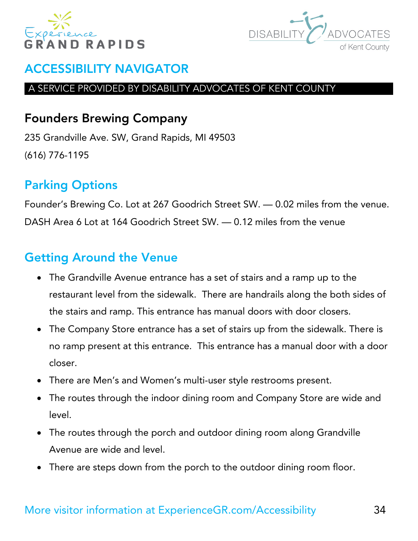



#### A SERVICE PROVIDED BY DISABILITY ADVOCATES OF KENT COUNTY

# <span id="page-33-0"></span>Founders Brewing Company

235 Grandville Ave. SW, Grand Rapids, MI 49503 (616) 776-1195

# Parking Options

Founder's Brewing Co. Lot at 267 Goodrich Street SW. — 0.02 miles from the venue. DASH Area 6 Lot at 164 Goodrich Street SW. — 0.12 miles from the venue

# Getting Around the Venue

- The Grandville Avenue entrance has a set of stairs and a ramp up to the restaurant level from the sidewalk. There are handrails along the both sides of the stairs and ramp. This entrance has manual doors with door closers.
- The Company Store entrance has a set of stairs up from the sidewalk. There is no ramp present at this entrance. This entrance has a manual door with a door closer.
- There are Men's and Women's multi-user style restrooms present.
- The routes through the indoor dining room and Company Store are wide and level.
- The routes through the porch and outdoor dining room along Grandville Avenue are wide and level.
- There are steps down from the porch to the outdoor dining room floor.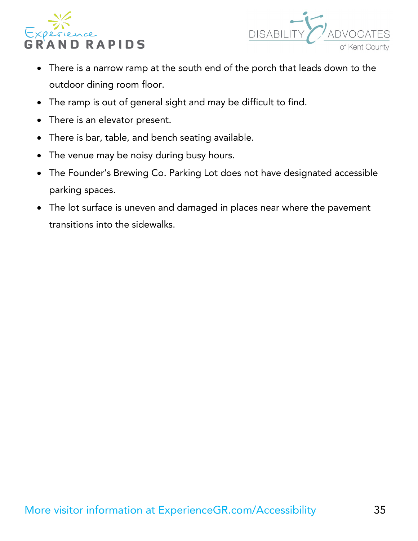



- There is a narrow ramp at the south end of the porch that leads down to the outdoor dining room floor.
- The ramp is out of general sight and may be difficult to find.
- There is an elevator present.
- There is bar, table, and bench seating available.
- The venue may be noisy during busy hours.
- The Founder's Brewing Co. Parking Lot does not have designated accessible parking spaces.
- The lot surface is uneven and damaged in places near where the pavement transitions into the sidewalks.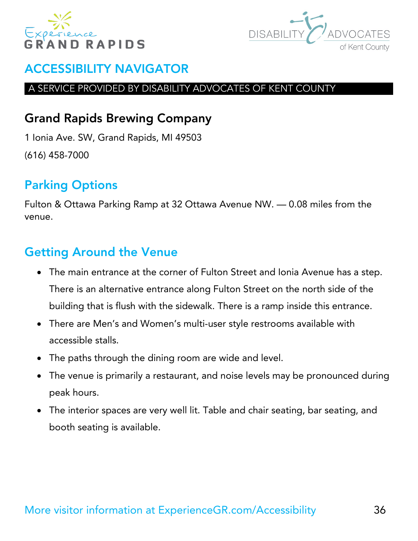



#### A SERVICE PROVIDED BY DISABILITY ADVOCATES OF KENT COUNTY

# <span id="page-35-0"></span>Grand Rapids Brewing Company

1 Ionia Ave. SW, Grand Rapids, MI 49503 (616) 458-7000

# Parking Options

Fulton & Ottawa Parking Ramp at 32 Ottawa Avenue NW. — 0.08 miles from the venue.

- The main entrance at the corner of Fulton Street and Ionia Avenue has a step. There is an alternative entrance along Fulton Street on the north side of the building that is flush with the sidewalk. There is a ramp inside this entrance.
- There are Men's and Women's multi-user style restrooms available with accessible stalls.
- The paths through the dining room are wide and level.
- The venue is primarily a restaurant, and noise levels may be pronounced during peak hours.
- The interior spaces are very well lit. Table and chair seating, bar seating, and booth seating is available.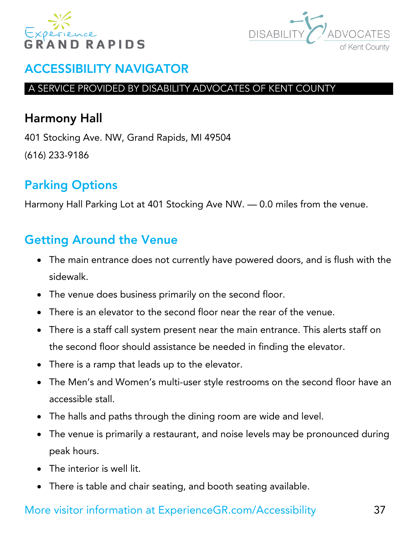



#### A SERVICE PROVIDED BY DISABILITY ADVOCATES OF KENT COUNTY

# Harmony Hall

401 Stocking Ave. NW, Grand Rapids, MI 49504 (616) 233-9186

# Parking Options

Harmony Hall Parking Lot at 401 Stocking Ave NW. — 0.0 miles from the venue.

# Getting Around the Venue

- The main entrance does not currently have powered doors, and is flush with the sidewalk.
- The venue does business primarily on the second floor.
- There is an elevator to the second floor near the rear of the venue.
- There is a staff call system present near the main entrance. This alerts staff on the second floor should assistance be needed in finding the elevator.
- There is a ramp that leads up to the elevator.
- The Men's and Women's multi-user style restrooms on the second floor have an accessible stall.
- The halls and paths through the dining room are wide and level.
- The venue is primarily a restaurant, and noise levels may be pronounced during peak hours.
- The interior is well lit.
- There is table and chair seating, and booth seating available.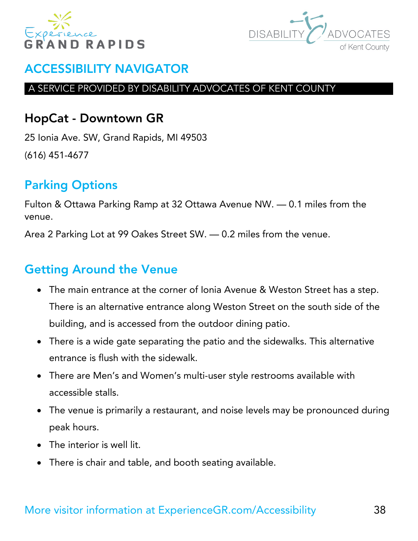



#### A SERVICE PROVIDED BY DISABILITY ADVOCATES OF KENT COUNTY

### HopCat - Downtown GR

25 Ionia Ave. SW, Grand Rapids, MI 49503 (616) 451-4677

# Parking Options

Fulton & Ottawa Parking Ramp at 32 Ottawa Avenue NW. — 0.1 miles from the venue.

Area 2 Parking Lot at 99 Oakes Street SW. — 0.2 miles from the venue.

- The main entrance at the corner of Ionia Avenue & Weston Street has a step. There is an alternative entrance along Weston Street on the south side of the building, and is accessed from the outdoor dining patio.
- There is a wide gate separating the patio and the sidewalks. This alternative entrance is flush with the sidewalk.
- There are Men's and Women's multi-user style restrooms available with accessible stalls.
- The venue is primarily a restaurant, and noise levels may be pronounced during peak hours.
- The interior is well lit.
- There is chair and table, and booth seating available.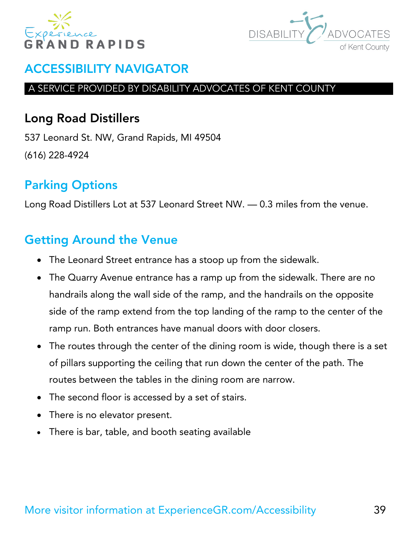



#### A SERVICE PROVIDED BY DISABILITY ADVOCATES OF KENT COUNTY

### Long Road Distillers

537 Leonard St. NW, Grand Rapids, MI 49504 (616) 228-4924

# Parking Options

Long Road Distillers Lot at 537 Leonard Street NW. — 0.3 miles from the venue.

- The Leonard Street entrance has a stoop up from the sidewalk.
- The Quarry Avenue entrance has a ramp up from the sidewalk. There are no handrails along the wall side of the ramp, and the handrails on the opposite side of the ramp extend from the top landing of the ramp to the center of the ramp run. Both entrances have manual doors with door closers.
- The routes through the center of the dining room is wide, though there is a set of pillars supporting the ceiling that run down the center of the path. The routes between the tables in the dining room are narrow.
- The second floor is accessed by a set of stairs.
- There is no elevator present.
- There is bar, table, and booth seating available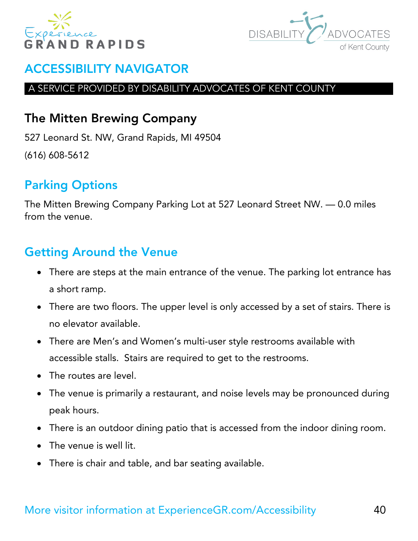



#### A SERVICE PROVIDED BY DISABILITY ADVOCATES OF KENT COUNTY

### The Mitten Brewing Company

527 Leonard St. NW, Grand Rapids, MI 49504 (616) 608-5612

# Parking Options

The Mitten Brewing Company Parking Lot at 527 Leonard Street NW. — 0.0 miles from the venue.

- There are steps at the main entrance of the venue. The parking lot entrance has a short ramp.
- There are two floors. The upper level is only accessed by a set of stairs. There is no elevator available.
- There are Men's and Women's multi-user style restrooms available with accessible stalls. Stairs are required to get to the restrooms.
- The routes are level.
- The venue is primarily a restaurant, and noise levels may be pronounced during peak hours.
- There is an outdoor dining patio that is accessed from the indoor dining room.
- The venue is well lit.
- There is chair and table, and bar seating available.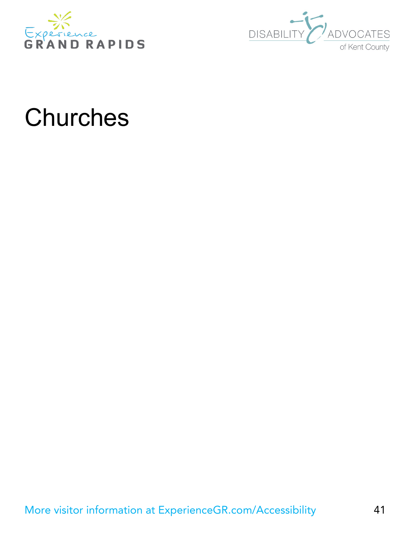



# **Churches**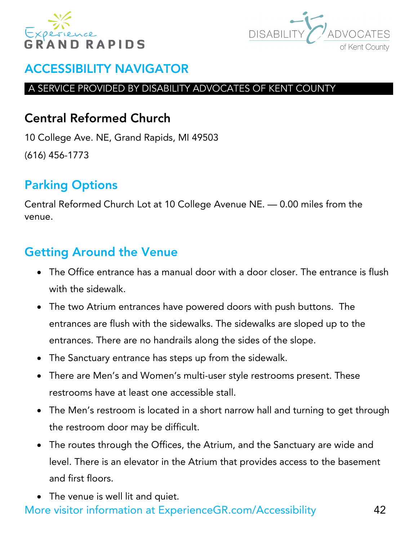



#### A SERVICE PROVIDED BY DISABILITY ADVOCATES OF KENT COUNTY

# Central Reformed Church

10 College Ave. NE, Grand Rapids, MI 49503 (616) 456-1773

# Parking Options

Central Reformed Church Lot at 10 College Avenue NE. — 0.00 miles from the venue.

# Getting Around the Venue

- The Office entrance has a manual door with a door closer. The entrance is flush with the sidewalk.
- The two Atrium entrances have powered doors with push buttons. The entrances are flush with the sidewalks. The sidewalks are sloped up to the entrances. There are no handrails along the sides of the slope.
- The Sanctuary entrance has steps up from the sidewalk.
- There are Men's and Women's multi-user style restrooms present. These restrooms have at least one accessible stall.
- The Men's restroom is located in a short narrow hall and turning to get through the restroom door may be difficult.
- The routes through the Offices, the Atrium, and the Sanctuary are wide and level. There is an elevator in the Atrium that provides access to the basement and first floors.
- The venue is well lit and quiet.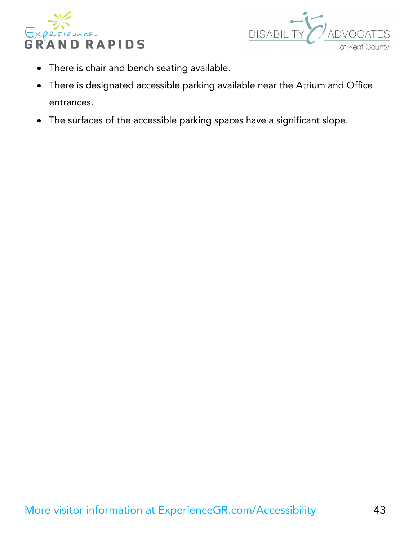



- There is chair and bench seating available.
- There is designated accessible parking available near the Atrium and Office entrances.
- The surfaces of the accessible parking spaces have a significant slope.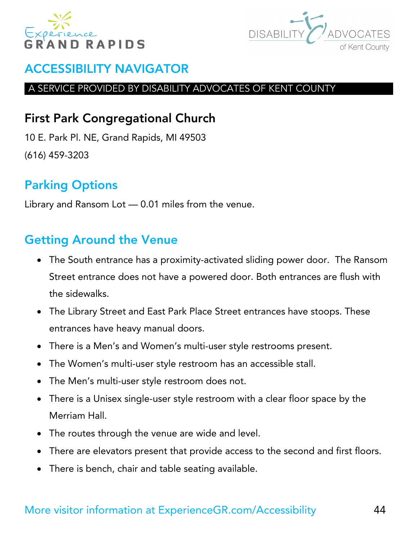



#### A SERVICE PROVIDED BY DISABILITY ADVOCATES OF KENT COUNTY

# First Park Congregational Church

10 E. Park Pl. NE, Grand Rapids, MI 49503 (616) 459-3203

# Parking Options

Library and Ransom Lot — 0.01 miles from the venue.

- The South entrance has a proximity-activated sliding power door. The Ransom Street entrance does not have a powered door. Both entrances are flush with the sidewalks.
- The Library Street and East Park Place Street entrances have stoops. These entrances have heavy manual doors.
- There is a Men's and Women's multi-user style restrooms present.
- The Women's multi-user style restroom has an accessible stall.
- The Men's multi-user style restroom does not.
- There is a Unisex single-user style restroom with a clear floor space by the Merriam Hall.
- The routes through the venue are wide and level.
- There are elevators present that provide access to the second and first floors.
- There is bench, chair and table seating available.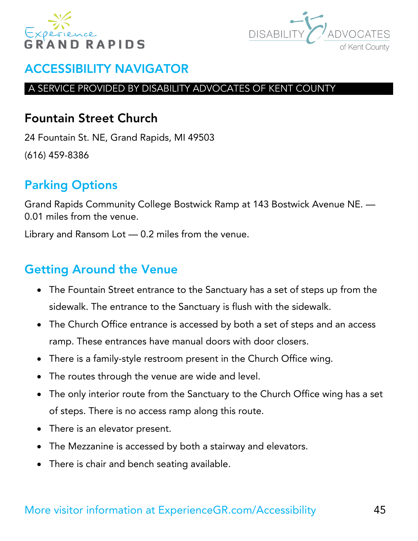



#### A SERVICE PROVIDED BY DISABILITY ADVOCATES OF KENT COUNTY

### Fountain Street Church

24 Fountain St. NE, Grand Rapids, MI 49503 (616) 459-8386

# Parking Options

Grand Rapids Community College Bostwick Ramp at 143 Bostwick Avenue NE. — 0.01 miles from the venue.

Library and Ransom Lot — 0.2 miles from the venue.

- The Fountain Street entrance to the Sanctuary has a set of steps up from the sidewalk. The entrance to the Sanctuary is flush with the sidewalk.
- The Church Office entrance is accessed by both a set of steps and an access ramp. These entrances have manual doors with door closers.
- There is a family-style restroom present in the Church Office wing.
- The routes through the venue are wide and level.
- The only interior route from the Sanctuary to the Church Office wing has a set of steps. There is no access ramp along this route.
- There is an elevator present.
- The Mezzanine is accessed by both a stairway and elevators.
- There is chair and bench seating available.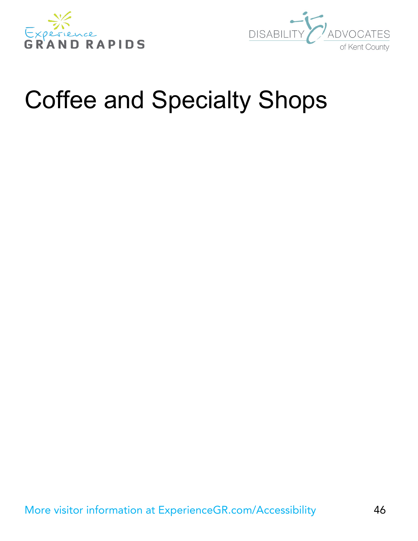



# Coffee and Specialty Shops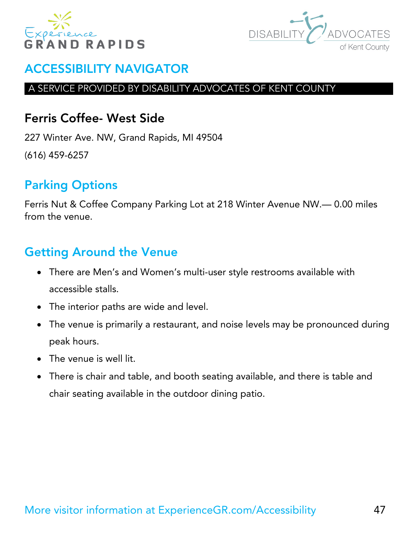



#### A SERVICE PROVIDED BY DISABILITY ADVOCATES OF KENT COUNTY

### Ferris Coffee- West Side

227 Winter Ave. NW, Grand Rapids, MI 49504 (616) 459-6257

# Parking Options

Ferris Nut & Coffee Company Parking Lot at 218 Winter Avenue NW.— 0.00 miles from the venue.

- There are Men's and Women's multi-user style restrooms available with accessible stalls.
- The interior paths are wide and level.
- The venue is primarily a restaurant, and noise levels may be pronounced during peak hours.
- The venue is well lit.
- There is chair and table, and booth seating available, and there is table and chair seating available in the outdoor dining patio.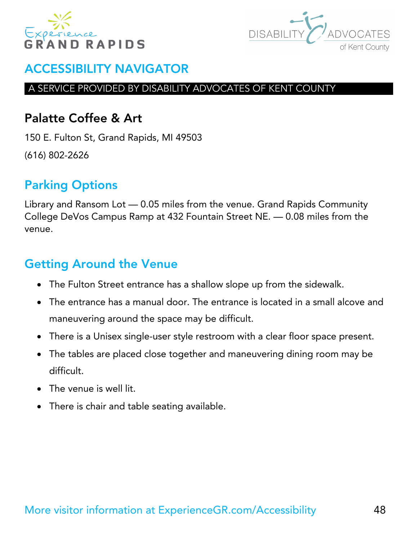



#### A SERVICE PROVIDED BY DISABILITY ADVOCATES OF KENT COUNTY

### Palatte Coffee & Art

150 E. Fulton St, Grand Rapids, MI 49503 (616) 802-2626

# Parking Options

Library and Ransom Lot — 0.05 miles from the venue. Grand Rapids Community College DeVos Campus Ramp at 432 Fountain Street NE. — 0.08 miles from the venue.

- The Fulton Street entrance has a shallow slope up from the sidewalk.
- The entrance has a manual door. The entrance is located in a small alcove and maneuvering around the space may be difficult.
- There is a Unisex single-user style restroom with a clear floor space present.
- The tables are placed close together and maneuvering dining room may be difficult.
- The venue is well lit.
- There is chair and table seating available.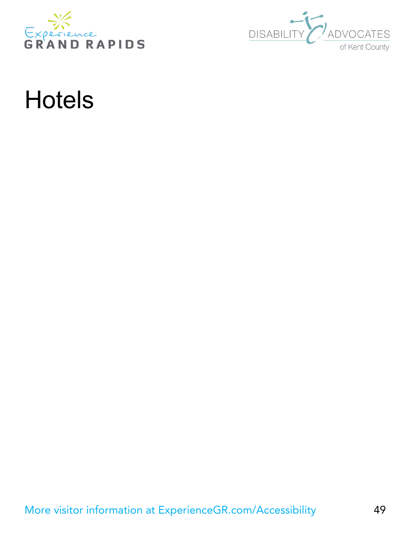



# **Hotels**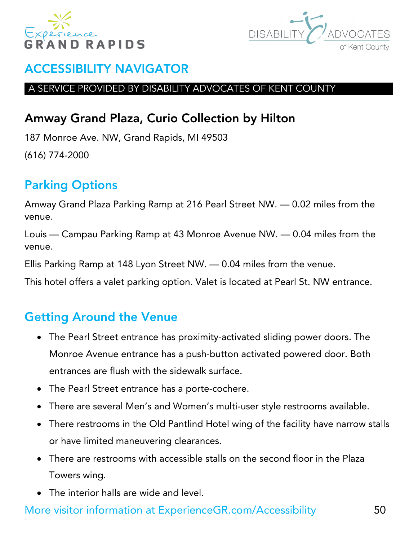



#### A SERVICE PROVIDED BY DISABILITY ADVOCATES OF KENT COUNTY

# Amway Grand Plaza, Curio Collection by Hilton

187 Monroe Ave. NW, Grand Rapids, MI 49503 (616) 774-2000

# Parking Options

Amway Grand Plaza Parking Ramp at 216 Pearl Street NW. — 0.02 miles from the venue.

Louis — Campau Parking Ramp at 43 Monroe Avenue NW. — 0.04 miles from the venue.

Ellis Parking Ramp at 148 Lyon Street NW. — 0.04 miles from the venue.

This hotel offers a valet parking option. Valet is located at Pearl St. NW entrance.

# Getting Around the Venue

- The Pearl Street entrance has proximity-activated sliding power doors. The Monroe Avenue entrance has a push-button activated powered door. Both entrances are flush with the sidewalk surface.
- The Pearl Street entrance has a porte-cochere.
- There are several Men's and Women's multi-user style restrooms available.
- There restrooms in the Old Pantlind Hotel wing of the facility have narrow stalls or have limited maneuvering clearances.
- There are restrooms with accessible stalls on the second floor in the Plaza Towers wing.
- The interior halls are wide and level.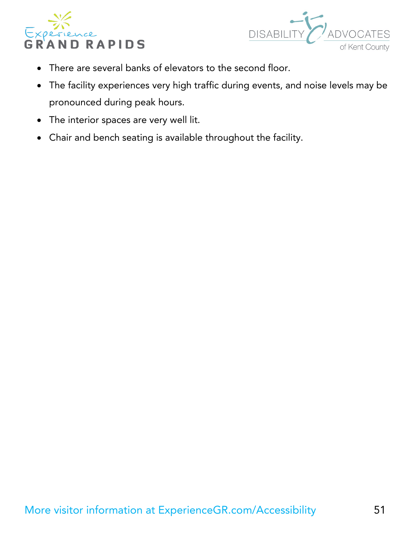



- There are several banks of elevators to the second floor.
- The facility experiences very high traffic during events, and noise levels may be pronounced during peak hours.
- The interior spaces are very well lit.
- Chair and bench seating is available throughout the facility.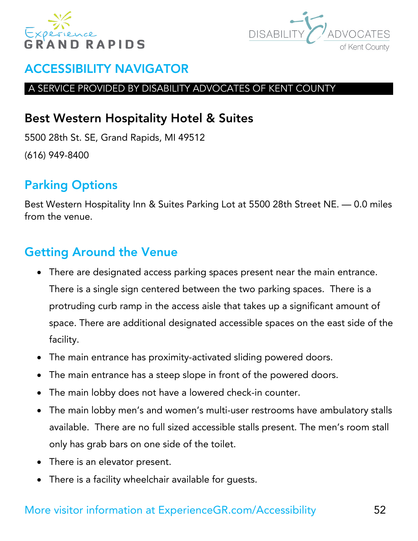



#### A SERVICE PROVIDED BY DISABILITY ADVOCATES OF KENT COUNTY

# Best Western Hospitality Hotel & Suites

5500 28th St. SE, Grand Rapids, MI 49512 (616) 949-8400

# Parking Options

Best Western Hospitality Inn & Suites Parking Lot at 5500 28th Street NE. — 0.0 miles from the venue.

# Getting Around the Venue

- There are designated access parking spaces present near the main entrance. There is a single sign centered between the two parking spaces. There is a protruding curb ramp in the access aisle that takes up a significant amount of space. There are additional designated accessible spaces on the east side of the facility.
- The main entrance has proximity-activated sliding powered doors.
- The main entrance has a steep slope in front of the powered doors.
- The main lobby does not have a lowered check-in counter.
- The main lobby men's and women's multi-user restrooms have ambulatory stalls available. There are no full sized accessible stalls present. The men's room stall only has grab bars on one side of the toilet.
- There is an elevator present.
- There is a facility wheelchair available for guests.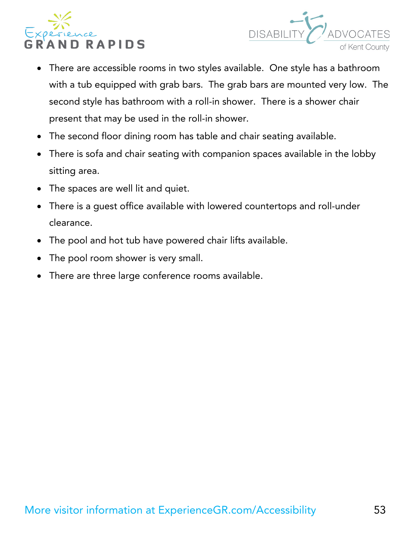



- There are accessible rooms in two styles available. One style has a bathroom with a tub equipped with grab bars. The grab bars are mounted very low. The second style has bathroom with a roll-in shower. There is a shower chair present that may be used in the roll-in shower.
- The second floor dining room has table and chair seating available.
- There is sofa and chair seating with companion spaces available in the lobby sitting area.
- The spaces are well lit and quiet.
- There is a guest office available with lowered countertops and roll-under clearance.
- The pool and hot tub have powered chair lifts available.
- The pool room shower is very small.
- There are three large conference rooms available.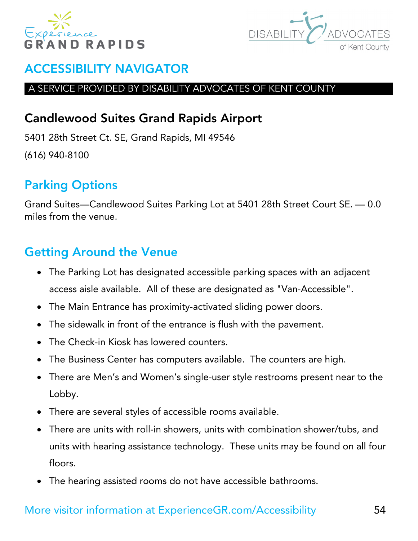



#### A SERVICE PROVIDED BY DISABILITY ADVOCATES OF KENT COUNTY

# Candlewood Suites Grand Rapids Airport

5401 28th Street Ct. SE, Grand Rapids, MI 49546 (616) 940-8100

# Parking Options

Grand Suites—Candlewood Suites Parking Lot at 5401 28th Street Court SE. — 0.0 miles from the venue.

# Getting Around the Venue

- The Parking Lot has designated accessible parking spaces with an adjacent access aisle available. All of these are designated as "Van-Accessible".
- The Main Entrance has proximity-activated sliding power doors.
- The sidewalk in front of the entrance is flush with the pavement.
- The Check-in Kiosk has lowered counters.
- The Business Center has computers available. The counters are high.
- There are Men's and Women's single-user style restrooms present near to the Lobby.
- There are several styles of accessible rooms available.
- There are units with roll-in showers, units with combination shower/tubs, and units with hearing assistance technology. These units may be found on all four floors.
- The hearing assisted rooms do not have accessible bathrooms.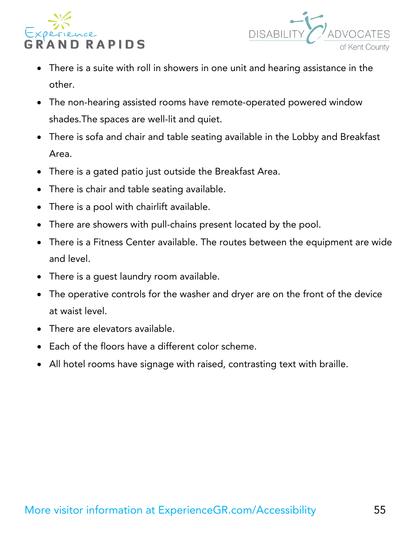



- There is a suite with roll in showers in one unit and hearing assistance in the other.
- The non-hearing assisted rooms have remote-operated powered window shades.The spaces are well-lit and quiet.
- There is sofa and chair and table seating available in the Lobby and Breakfast Area.
- There is a gated patio just outside the Breakfast Area.
- There is chair and table seating available.
- There is a pool with chairlift available.
- There are showers with pull-chains present located by the pool.
- There is a Fitness Center available. The routes between the equipment are wide and level.
- There is a guest laundry room available.
- The operative controls for the washer and dryer are on the front of the device at waist level.
- There are elevators available.
- Each of the floors have a different color scheme.
- All hotel rooms have signage with raised, contrasting text with braille.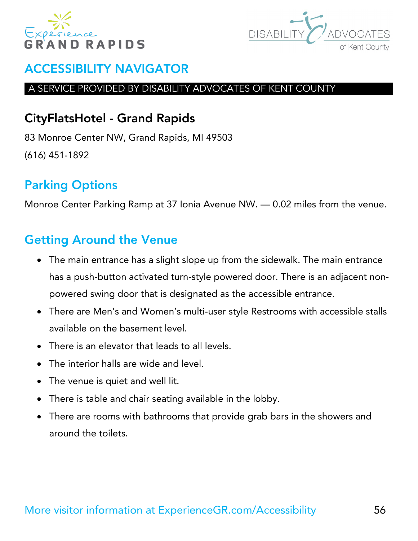



#### A SERVICE PROVIDED BY DISABILITY ADVOCATES OF KENT COUNTY

# CityFlatsHotel - Grand Rapids

83 Monroe Center NW, Grand Rapids, MI 49503 (616) 451-1892

# Parking Options

Monroe Center Parking Ramp at 37 Ionia Avenue NW. — 0.02 miles from the venue.

- The main entrance has a slight slope up from the sidewalk. The main entrance has a push-button activated turn-style powered door. There is an adjacent nonpowered swing door that is designated as the accessible entrance.
- There are Men's and Women's multi-user style Restrooms with accessible stalls available on the basement level.
- There is an elevator that leads to all levels.
- The interior halls are wide and level.
- The venue is quiet and well lit.
- There is table and chair seating available in the lobby.
- There are rooms with bathrooms that provide grab bars in the showers and around the toilets.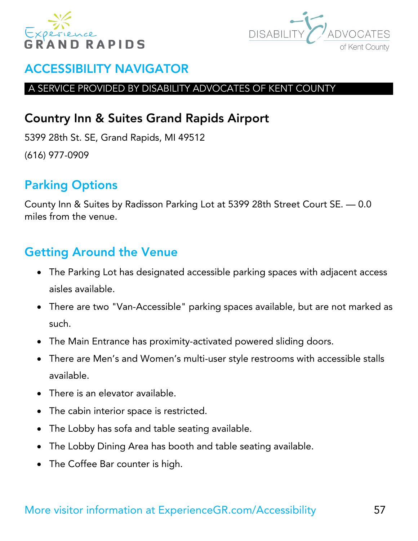



#### A SERVICE PROVIDED BY DISABILITY ADVOCATES OF KENT COUNTY

## Country Inn & Suites Grand Rapids Airport

5399 28th St. SE, Grand Rapids, MI 49512 (616) 977-0909

# Parking Options

County Inn & Suites by Radisson Parking Lot at 5399 28th Street Court SE. — 0.0 miles from the venue.

- The Parking Lot has designated accessible parking spaces with adjacent access aisles available.
- There are two "Van-Accessible" parking spaces available, but are not marked as such.
- The Main Entrance has proximity-activated powered sliding doors.
- There are Men's and Women's multi-user style restrooms with accessible stalls available.
- There is an elevator available.
- The cabin interior space is restricted.
- The Lobby has sofa and table seating available.
- The Lobby Dining Area has booth and table seating available.
- The Coffee Bar counter is high.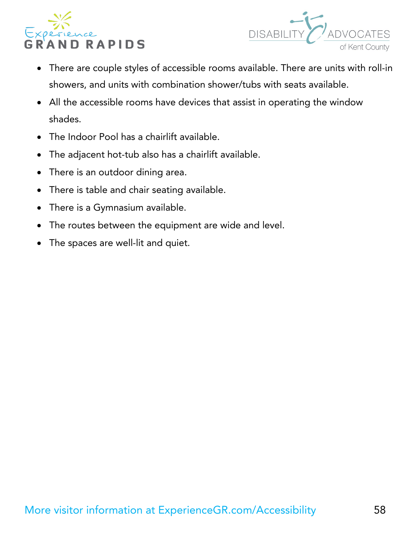



- There are couple styles of accessible rooms available. There are units with roll-in showers, and units with combination shower/tubs with seats available.
- All the accessible rooms have devices that assist in operating the window shades.
- The Indoor Pool has a chairlift available.
- The adjacent hot-tub also has a chairlift available.
- There is an outdoor dining area.
- There is table and chair seating available.
- There is a Gymnasium available.
- The routes between the equipment are wide and level.
- The spaces are well-lit and quiet.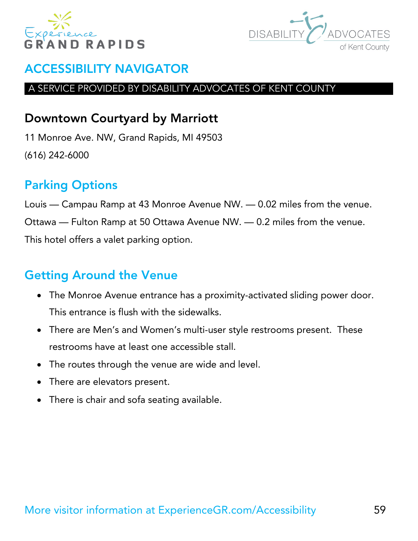



#### A SERVICE PROVIDED BY DISABILITY ADVOCATES OF KENT COUNTY

### Downtown Courtyard by Marriott

11 Monroe Ave. NW, Grand Rapids, MI 49503 (616) 242-6000

# Parking Options

Louis — Campau Ramp at 43 Monroe Avenue NW. — 0.02 miles from the venue. Ottawa — Fulton Ramp at 50 Ottawa Avenue NW. — 0.2 miles from the venue. This hotel offers a valet parking option.

- The Monroe Avenue entrance has a proximity-activated sliding power door. This entrance is flush with the sidewalks.
- There are Men's and Women's multi-user style restrooms present. These restrooms have at least one accessible stall.
- The routes through the venue are wide and level.
- There are elevators present.
- There is chair and sofa seating available.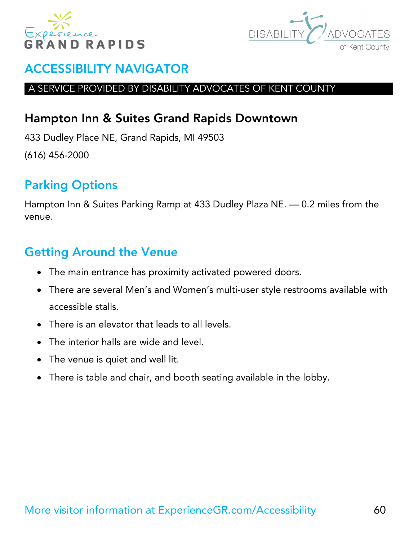



#### A SERVICE PROVIDED BY DISABILITY ADVOCATES OF KENT COUNTY

## Hampton Inn & Suites Grand Rapids Downtown

433 Dudley Place NE, Grand Rapids, MI 49503 (616) 456-2000

# Parking Options

Hampton Inn & Suites Parking Ramp at 433 Dudley Plaza NE. — 0.2 miles from the venue.

- The main entrance has proximity activated powered doors.
- There are several Men's and Women's multi-user style restrooms available with accessible stalls.
- There is an elevator that leads to all levels.
- The interior halls are wide and level.
- The venue is quiet and well lit.
- There is table and chair, and booth seating available in the lobby.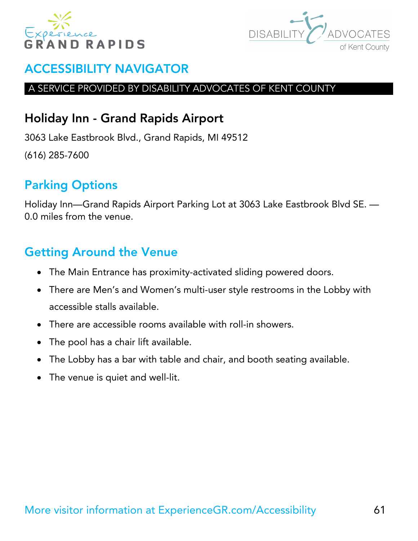



#### A SERVICE PROVIDED BY DISABILITY ADVOCATES OF KENT COUNTY

## Holiday Inn - Grand Rapids Airport

3063 Lake Eastbrook Blvd., Grand Rapids, MI 49512 (616) 285-7600

# Parking Options

Holiday Inn—Grand Rapids Airport Parking Lot at 3063 Lake Eastbrook Blvd SE. — 0.0 miles from the venue.

- The Main Entrance has proximity-activated sliding powered doors.
- There are Men's and Women's multi-user style restrooms in the Lobby with accessible stalls available.
- There are accessible rooms available with roll-in showers.
- The pool has a chair lift available.
- The Lobby has a bar with table and chair, and booth seating available.
- The venue is quiet and well-lit.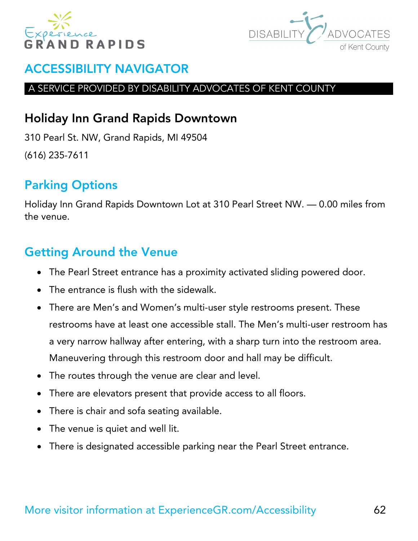



#### A SERVICE PROVIDED BY DISABILITY ADVOCATES OF KENT COUNTY

### Holiday Inn Grand Rapids Downtown

310 Pearl St. NW, Grand Rapids, MI 49504 (616) 235-7611

# Parking Options

Holiday Inn Grand Rapids Downtown Lot at 310 Pearl Street NW. — 0.00 miles from the venue.

- The Pearl Street entrance has a proximity activated sliding powered door.
- The entrance is flush with the sidewalk.
- There are Men's and Women's multi-user style restrooms present. These restrooms have at least one accessible stall. The Men's multi-user restroom has a very narrow hallway after entering, with a sharp turn into the restroom area. Maneuvering through this restroom door and hall may be difficult.
- The routes through the venue are clear and level.
- There are elevators present that provide access to all floors.
- There is chair and sofa seating available.
- The venue is quiet and well lit.
- There is designated accessible parking near the Pearl Street entrance.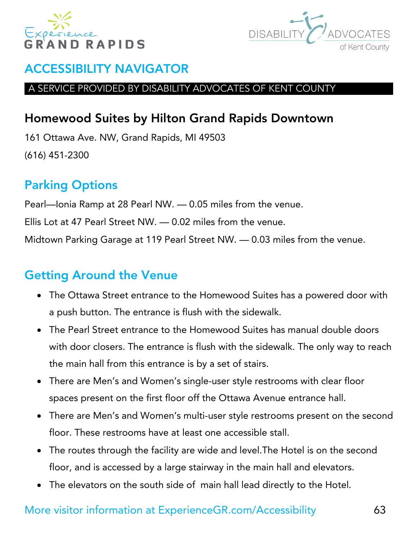



#### A SERVICE PROVIDED BY DISABILITY ADVOCATES OF KENT COUNTY

# Homewood Suites by Hilton Grand Rapids Downtown

161 Ottawa Ave. NW, Grand Rapids, MI 49503 (616) 451-2300

# Parking Options

Pearl—Ionia Ramp at 28 Pearl NW. — 0.05 miles from the venue. Ellis Lot at 47 Pearl Street NW. — 0.02 miles from the venue. Midtown Parking Garage at 119 Pearl Street NW. — 0.03 miles from the venue.

# Getting Around the Venue

- The Ottawa Street entrance to the Homewood Suites has a powered door with a push button. The entrance is flush with the sidewalk.
- The Pearl Street entrance to the Homewood Suites has manual double doors with door closers. The entrance is flush with the sidewalk. The only way to reach the main hall from this entrance is by a set of stairs.
- There are Men's and Women's single-user style restrooms with clear floor spaces present on the first floor off the Ottawa Avenue entrance hall.
- There are Men's and Women's multi-user style restrooms present on the second floor. These restrooms have at least one accessible stall.
- The routes through the facility are wide and level.The Hotel is on the second floor, and is accessed by a large stairway in the main hall and elevators.
- The elevators on the south side of main hall lead directly to the Hotel.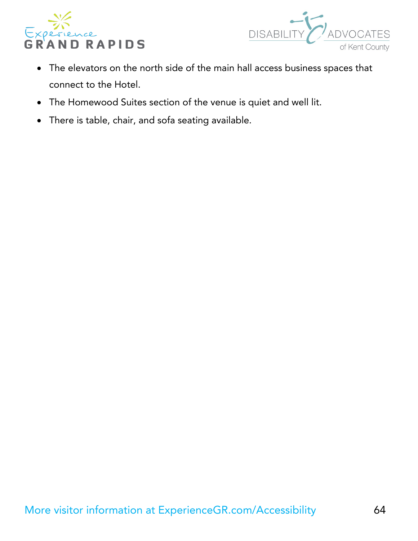



- The elevators on the north side of the main hall access business spaces that connect to the Hotel.
- The Homewood Suites section of the venue is quiet and well lit.
- There is table, chair, and sofa seating available.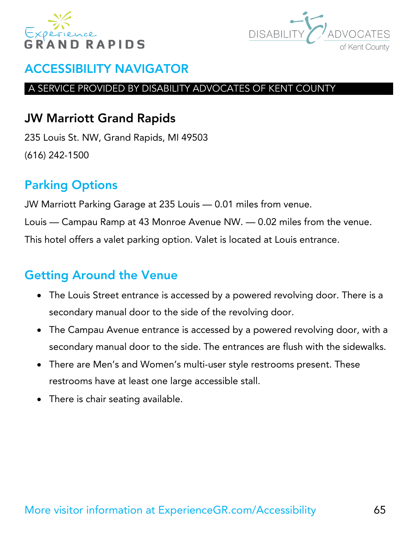



#### A SERVICE PROVIDED BY DISABILITY ADVOCATES OF KENT COUNTY

### JW Marriott Grand Rapids

235 Louis St. NW, Grand Rapids, MI 49503 (616) 242-1500

# Parking Options

JW Marriott Parking Garage at 235 Louis — 0.01 miles from venue. Louis — Campau Ramp at 43 Monroe Avenue NW. — 0.02 miles from the venue. This hotel offers a valet parking option. Valet is located at Louis entrance.

- The Louis Street entrance is accessed by a powered revolving door. There is a secondary manual door to the side of the revolving door.
- The Campau Avenue entrance is accessed by a powered revolving door, with a secondary manual door to the side. The entrances are flush with the sidewalks.
- There are Men's and Women's multi-user style restrooms present. These restrooms have at least one large accessible stall.
- There is chair seating available.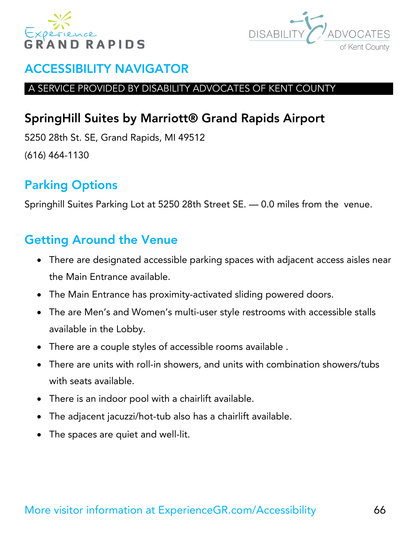



#### A SERVICE PROVIDED BY DISABILITY ADVOCATES OF KENT COUNTY

# SpringHill Suites by Marriott® Grand Rapids Airport

5250 28th St. SE, Grand Rapids, MI 49512 (616) 464-1130

# Parking Options

Springhill Suites Parking Lot at 5250 28th Street SE. — 0.0 miles from the venue.

- There are designated accessible parking spaces with adjacent access aisles near the Main Entrance available.
- The Main Entrance has proximity-activated sliding powered doors.
- The are Men's and Women's multi-user style restrooms with accessible stalls available in the Lobby.
- There are a couple styles of accessible rooms available .
- There are units with roll-in showers, and units with combination showers/tubs with seats available.
- There is an indoor pool with a chairlift available.
- The adjacent jacuzzi/hot-tub also has a chairlift available.
- The spaces are quiet and well-lit.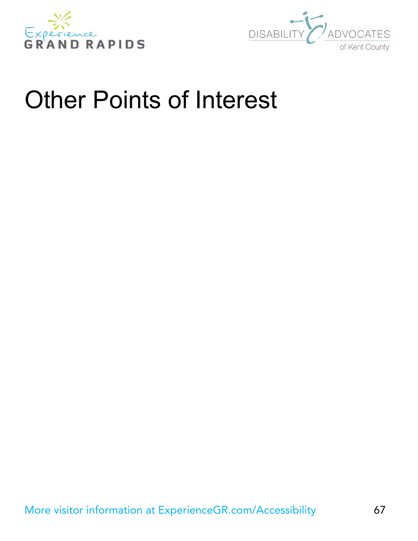



# Other Points of Interest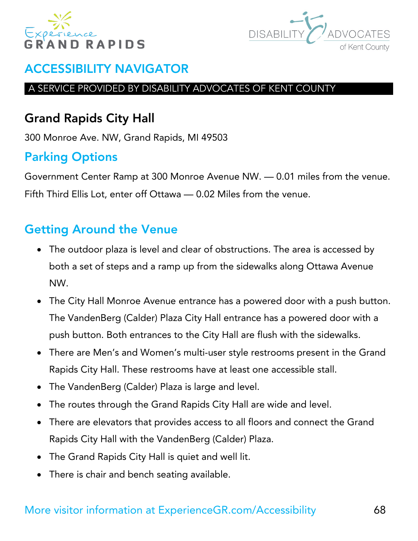



#### A SERVICE PROVIDED BY DISABILITY ADVOCATES OF KENT COUNTY

# Grand Rapids City Hall

300 Monroe Ave. NW, Grand Rapids, MI 49503

# Parking Options

Government Center Ramp at 300 Monroe Avenue NW. — 0.01 miles from the venue. Fifth Third Ellis Lot, enter off Ottawa — 0.02 Miles from the venue.

- The outdoor plaza is level and clear of obstructions. The area is accessed by both a set of steps and a ramp up from the sidewalks along Ottawa Avenue NW.
- The City Hall Monroe Avenue entrance has a powered door with a push button. The VandenBerg (Calder) Plaza City Hall entrance has a powered door with a push button. Both entrances to the City Hall are flush with the sidewalks.
- There are Men's and Women's multi-user style restrooms present in the Grand Rapids City Hall. These restrooms have at least one accessible stall.
- The VandenBerg (Calder) Plaza is large and level.
- The routes through the Grand Rapids City Hall are wide and level.
- There are elevators that provides access to all floors and connect the Grand Rapids City Hall with the VandenBerg (Calder) Plaza.
- The Grand Rapids City Hall is quiet and well lit.
- There is chair and bench seating available.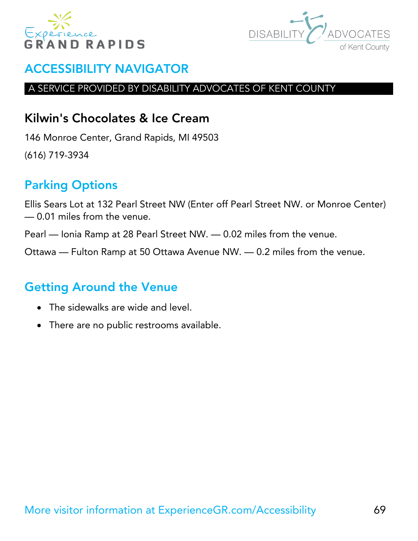



#### A SERVICE PROVIDED BY DISABILITY ADVOCATES OF KENT COUNTY

### Kilwin's Chocolates & Ice Cream

146 Monroe Center, Grand Rapids, MI 49503 (616) 719-3934

# Parking Options

Ellis Sears Lot at 132 Pearl Street NW (Enter off Pearl Street NW. or Monroe Center) — 0.01 miles from the venue.

Pearl — Ionia Ramp at 28 Pearl Street NW. — 0.02 miles from the venue.

Ottawa — Fulton Ramp at 50 Ottawa Avenue NW. — 0.2 miles from the venue.

- The sidewalks are wide and level.
- There are no public restrooms available.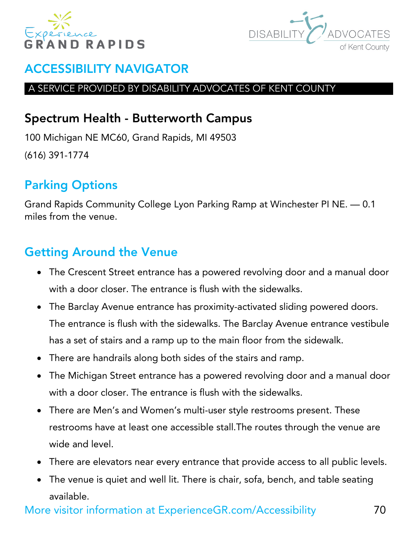



#### A SERVICE PROVIDED BY DISABILITY ADVOCATES OF KENT COUNTY

### Spectrum Health - Butterworth Campus

100 Michigan NE MC60, Grand Rapids, MI 49503 (616) 391-1774

# Parking Options

Grand Rapids Community College Lyon Parking Ramp at Winchester PI NE. — 0.1 miles from the venue.

# Getting Around the Venue

- The Crescent Street entrance has a powered revolving door and a manual door with a door closer. The entrance is flush with the sidewalks.
- The Barclay Avenue entrance has proximity-activated sliding powered doors. The entrance is flush with the sidewalks. The Barclay Avenue entrance vestibule has a set of stairs and a ramp up to the main floor from the sidewalk.
- There are handrails along both sides of the stairs and ramp.
- The Michigan Street entrance has a powered revolving door and a manual door with a door closer. The entrance is flush with the sidewalks.
- There are Men's and Women's multi-user style restrooms present. These restrooms have at least one accessible stall.The routes through the venue are wide and level.
- There are elevators near every entrance that provide access to all public levels.
- The venue is quiet and well lit. There is chair, sofa, bench, and table seating available.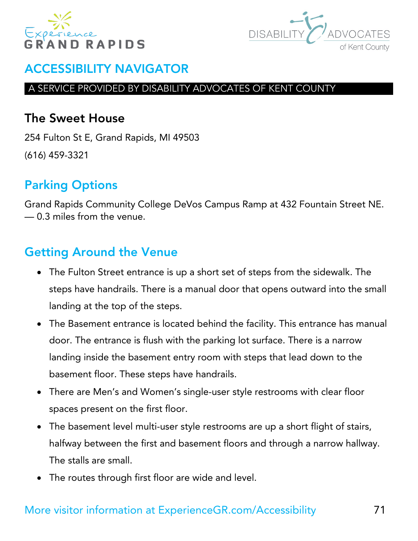



#### A SERVICE PROVIDED BY DISABILITY ADVOCATES OF KENT COUNTY

### The Sweet House

254 Fulton St E, Grand Rapids, MI 49503 (616) 459-3321

# Parking Options

Grand Rapids Community College DeVos Campus Ramp at 432 Fountain Street NE. — 0.3 miles from the venue.

- The Fulton Street entrance is up a short set of steps from the sidewalk. The steps have handrails. There is a manual door that opens outward into the small landing at the top of the steps.
- The Basement entrance is located behind the facility. This entrance has manual door. The entrance is flush with the parking lot surface. There is a narrow landing inside the basement entry room with steps that lead down to the basement floor. These steps have handrails.
- There are Men's and Women's single-user style restrooms with clear floor spaces present on the first floor.
- The basement level multi-user style restrooms are up a short flight of stairs, halfway between the first and basement floors and through a narrow hallway. The stalls are small.
- The routes through first floor are wide and level.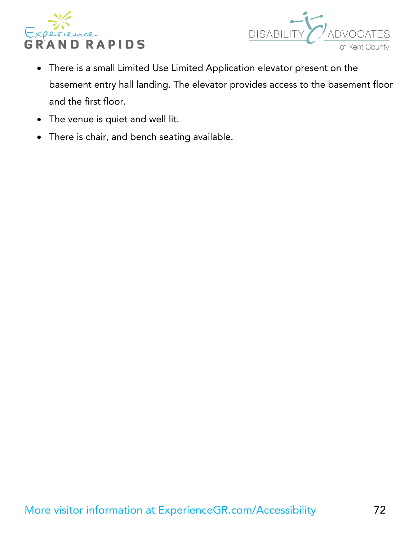



- There is a small Limited Use Limited Application elevator present on the basement entry hall landing. The elevator provides access to the basement floor and the first floor.
- The venue is quiet and well lit.
- There is chair, and bench seating available.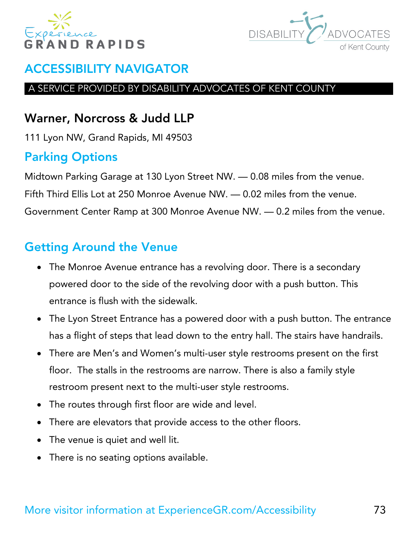



#### A SERVICE PROVIDED BY DISABILITY ADVOCATES OF KENT COUNTY

## Warner, Norcross & Judd LLP

111 Lyon NW, Grand Rapids, MI 49503

# Parking Options

Midtown Parking Garage at 130 Lyon Street NW. — 0.08 miles from the venue. Fifth Third Ellis Lot at 250 Monroe Avenue NW. — 0.02 miles from the venue. Government Center Ramp at 300 Monroe Avenue NW. — 0.2 miles from the venue.

- The Monroe Avenue entrance has a revolving door. There is a secondary powered door to the side of the revolving door with a push button. This entrance is flush with the sidewalk.
- The Lyon Street Entrance has a powered door with a push button. The entrance has a flight of steps that lead down to the entry hall. The stairs have handrails.
- There are Men's and Women's multi-user style restrooms present on the first floor. The stalls in the restrooms are narrow. There is also a family style restroom present next to the multi-user style restrooms.
- The routes through first floor are wide and level.
- There are elevators that provide access to the other floors.
- The venue is quiet and well lit.
- There is no seating options available.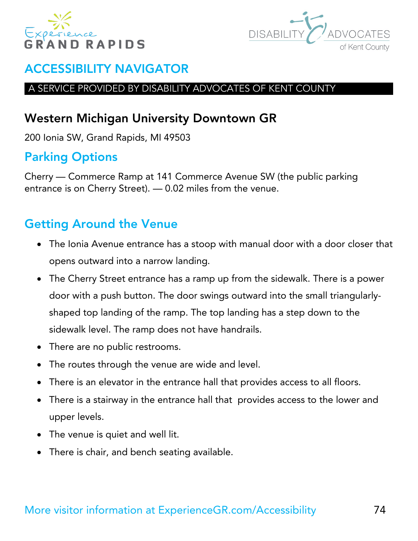



#### A SERVICE PROVIDED BY DISABILITY ADVOCATES OF KENT COUNTY

# Western Michigan University Downtown GR

200 Ionia SW, Grand Rapids, MI 49503

# Parking Options

Cherry — Commerce Ramp at 141 Commerce Avenue SW (the public parking entrance is on Cherry Street). — 0.02 miles from the venue.

- The Ionia Avenue entrance has a stoop with manual door with a door closer that opens outward into a narrow landing.
- The Cherry Street entrance has a ramp up from the sidewalk. There is a power door with a push button. The door swings outward into the small triangularlyshaped top landing of the ramp. The top landing has a step down to the sidewalk level. The ramp does not have handrails.
- There are no public restrooms.
- The routes through the venue are wide and level.
- There is an elevator in the entrance hall that provides access to all floors.
- There is a stairway in the entrance hall that provides access to the lower and upper levels.
- The venue is quiet and well lit.
- There is chair, and bench seating available.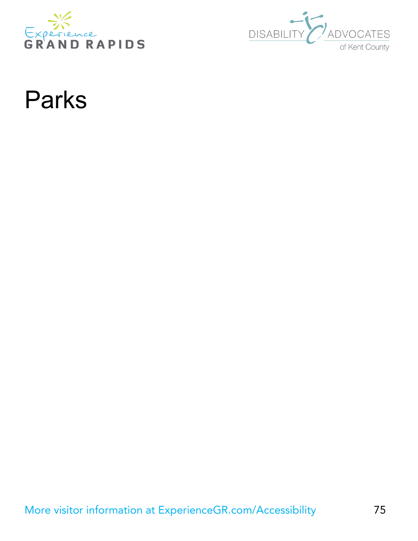



# Parks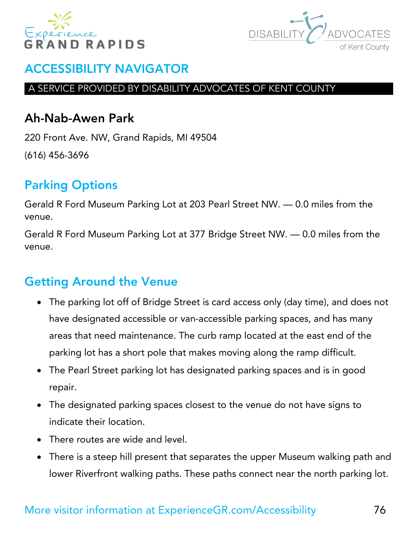



#### A SERVICE PROVIDED BY DISABILITY ADVOCATES OF KENT COUNTY

#### Ah-Nab-Awen Park

220 Front Ave. NW, Grand Rapids, MI 49504 (616) 456-3696

# Parking Options

Gerald R Ford Museum Parking Lot at 203 Pearl Street NW. — 0.0 miles from the venue.

Gerald R Ford Museum Parking Lot at 377 Bridge Street NW. — 0.0 miles from the venue.

- The parking lot off of Bridge Street is card access only (day time), and does not have designated accessible or van-accessible parking spaces, and has many areas that need maintenance. The curb ramp located at the east end of the parking lot has a short pole that makes moving along the ramp difficult.
- The Pearl Street parking lot has designated parking spaces and is in good repair.
- The designated parking spaces closest to the venue do not have signs to indicate their location.
- There routes are wide and level.
- There is a steep hill present that separates the upper Museum walking path and lower Riverfront walking paths. These paths connect near the north parking lot.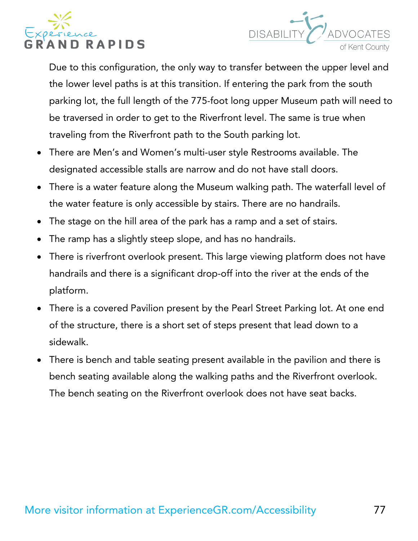



Due to this configuration, the only way to transfer between the upper level and the lower level paths is at this transition. If entering the park from the south parking lot, the full length of the 775-foot long upper Museum path will need to be traversed in order to get to the Riverfront level. The same is true when traveling from the Riverfront path to the South parking lot.

- There are Men's and Women's multi-user style Restrooms available. The designated accessible stalls are narrow and do not have stall doors.
- There is a water feature along the Museum walking path. The waterfall level of the water feature is only accessible by stairs. There are no handrails.
- The stage on the hill area of the park has a ramp and a set of stairs.
- The ramp has a slightly steep slope, and has no handrails.
- There is riverfront overlook present. This large viewing platform does not have handrails and there is a significant drop-off into the river at the ends of the platform.
- There is a covered Pavilion present by the Pearl Street Parking lot. At one end of the structure, there is a short set of steps present that lead down to a sidewalk.
- There is bench and table seating present available in the pavilion and there is bench seating available along the walking paths and the Riverfront overlook. The bench seating on the Riverfront overlook does not have seat backs.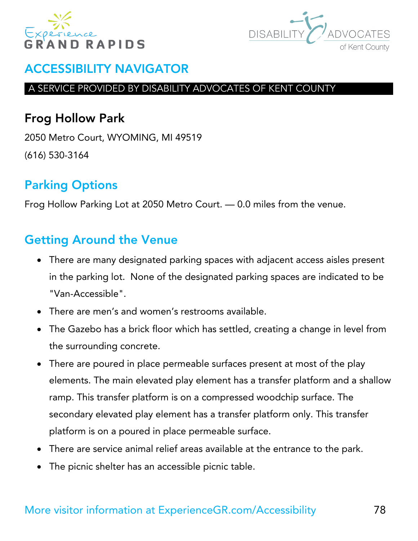



#### A SERVICE PROVIDED BY DISABILITY ADVOCATES OF KENT COUNTY

# Frog Hollow Park

2050 Metro Court, WYOMING, MI 49519 (616) 530-3164

# Parking Options

Frog Hollow Parking Lot at 2050 Metro Court. — 0.0 miles from the venue.

- There are many designated parking spaces with adjacent access aisles present in the parking lot. None of the designated parking spaces are indicated to be "Van-Accessible".
- There are men's and women's restrooms available.
- The Gazebo has a brick floor which has settled, creating a change in level from the surrounding concrete.
- There are poured in place permeable surfaces present at most of the play elements. The main elevated play element has a transfer platform and a shallow ramp. This transfer platform is on a compressed woodchip surface. The secondary elevated play element has a transfer platform only. This transfer platform is on a poured in place permeable surface.
- There are service animal relief areas available at the entrance to the park.
- The picnic shelter has an accessible picnic table.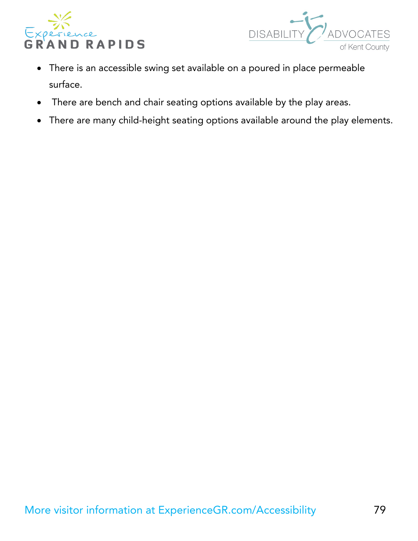



- There is an accessible swing set available on a poured in place permeable surface.
- There are bench and chair seating options available by the play areas.
- There are many child-height seating options available around the play elements.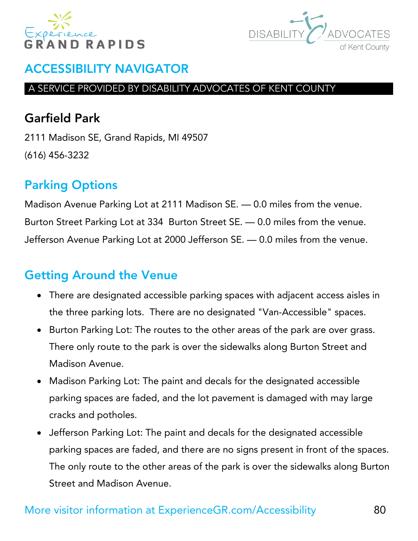



#### A SERVICE PROVIDED BY DISABILITY ADVOCATES OF KENT COUNTY

# Garfield Park

2111 Madison SE, Grand Rapids, MI 49507 (616) 456-3232

# Parking Options

Madison Avenue Parking Lot at 2111 Madison SE. — 0.0 miles from the venue. Burton Street Parking Lot at 334 Burton Street SE. — 0.0 miles from the venue. Jefferson Avenue Parking Lot at 2000 Jefferson SE. — 0.0 miles from the venue.

- There are designated accessible parking spaces with adjacent access aisles in the three parking lots. There are no designated "Van-Accessible" spaces.
- Burton Parking Lot: The routes to the other areas of the park are over grass. There only route to the park is over the sidewalks along Burton Street and Madison Avenue.
- Madison Parking Lot: The paint and decals for the designated accessible parking spaces are faded, and the lot pavement is damaged with may large cracks and potholes.
- Jefferson Parking Lot: The paint and decals for the designated accessible parking spaces are faded, and there are no signs present in front of the spaces. The only route to the other areas of the park is over the sidewalks along Burton Street and Madison Avenue.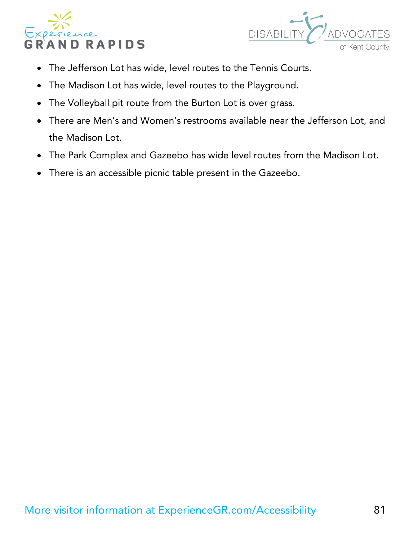



- The Jefferson Lot has wide, level routes to the Tennis Courts.
- The Madison Lot has wide, level routes to the Playground.
- The Volleyball pit route from the Burton Lot is over grass.
- There are Men's and Women's restrooms available near the Jefferson Lot, and the Madison Lot.
- The Park Complex and Gazeebo has wide level routes from the Madison Lot.
- There is an accessible picnic table present in the Gazeebo.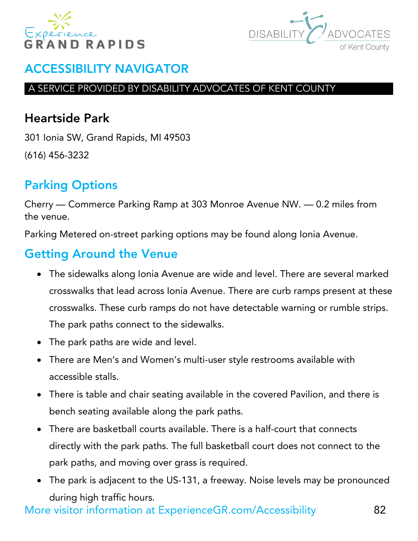



#### A SERVICE PROVIDED BY DISABILITY ADVOCATES OF KENT COUNTY

## Heartside Park

301 Ionia SW, Grand Rapids, MI 49503 (616) 456-3232

# Parking Options

Cherry — Commerce Parking Ramp at 303 Monroe Avenue NW. — 0.2 miles from the venue.

Parking Metered on-street parking options may be found along Ionia Avenue.

# Getting Around the Venue

- The sidewalks along Ionia Avenue are wide and level. There are several marked crosswalks that lead across Ionia Avenue. There are curb ramps present at these crosswalks. These curb ramps do not have detectable warning or rumble strips. The park paths connect to the sidewalks.
- The park paths are wide and level.
- There are Men's and Women's multi-user style restrooms available with accessible stalls.
- There is table and chair seating available in the covered Pavilion, and there is bench seating available along the park paths.
- There are basketball courts available. There is a half-court that connects directly with the park paths. The full basketball court does not connect to the park paths, and moving over grass is required.
- The park is adjacent to the US-131, a freeway. Noise levels may be pronounced during high traffic hours.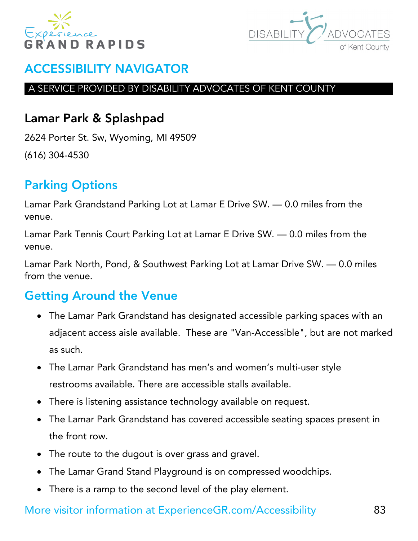



#### A SERVICE PROVIDED BY DISABILITY ADVOCATES OF KENT COUNTY

## Lamar Park & Splashpad

2624 Porter St. Sw, Wyoming, MI 49509 (616) 304-4530

# Parking Options

Lamar Park Grandstand Parking Lot at Lamar E Drive SW. — 0.0 miles from the venue.

Lamar Park Tennis Court Parking Lot at Lamar E Drive SW. — 0.0 miles from the venue.

Lamar Park North, Pond, & Southwest Parking Lot at Lamar Drive SW. — 0.0 miles from the venue.

## Getting Around the Venue

- The Lamar Park Grandstand has designated accessible parking spaces with an adjacent access aisle available. These are "Van-Accessible", but are not marked as such.
- The Lamar Park Grandstand has men's and women's multi-user style restrooms available. There are accessible stalls available.
- There is listening assistance technology available on request.
- The Lamar Park Grandstand has covered accessible seating spaces present in the front row.
- The route to the dugout is over grass and gravel.
- The Lamar Grand Stand Playground is on compressed woodchips.
- There is a ramp to the second level of the play element.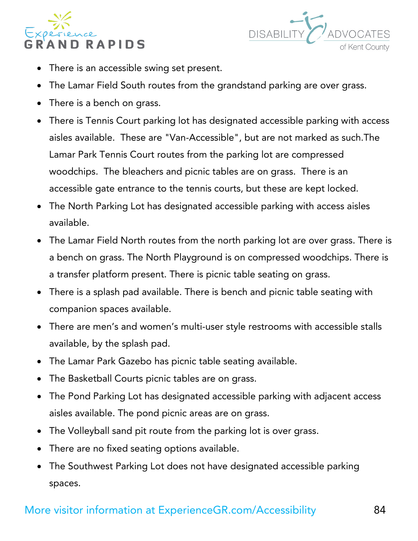



- There is an accessible swing set present.
- The Lamar Field South routes from the grandstand parking are over grass.
- There is a bench on grass.
- There is Tennis Court parking lot has designated accessible parking with access aisles available. These are "Van-Accessible", but are not marked as such.The Lamar Park Tennis Court routes from the parking lot are compressed woodchips. The bleachers and picnic tables are on grass. There is an accessible gate entrance to the tennis courts, but these are kept locked.
- The North Parking Lot has designated accessible parking with access aisles available.
- The Lamar Field North routes from the north parking lot are over grass. There is a bench on grass. The North Playground is on compressed woodchips. There is a transfer platform present. There is picnic table seating on grass.
- There is a splash pad available. There is bench and picnic table seating with companion spaces available.
- There are men's and women's multi-user style restrooms with accessible stalls available, by the splash pad.
- The Lamar Park Gazebo has picnic table seating available.
- The Basketball Courts picnic tables are on grass.
- The Pond Parking Lot has designated accessible parking with adjacent access aisles available. The pond picnic areas are on grass.
- The Volleyball sand pit route from the parking lot is over grass.
- There are no fixed seating options available.
- The Southwest Parking Lot does not have designated accessible parking spaces.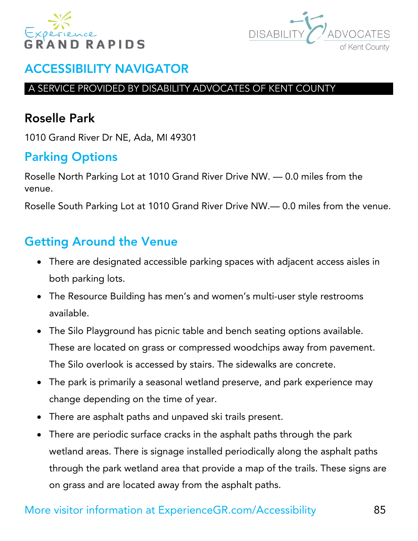



#### A SERVICE PROVIDED BY DISABILITY ADVOCATES OF KENT COUNTY

# Roselle Park

1010 Grand River Dr NE, Ada, MI 49301

# Parking Options

Roselle North Parking Lot at 1010 Grand River Drive NW. — 0.0 miles from the venue.

Roselle South Parking Lot at 1010 Grand River Drive NW.— 0.0 miles from the venue.

- There are designated accessible parking spaces with adjacent access aisles in both parking lots.
- The Resource Building has men's and women's multi-user style restrooms available.
- The Silo Playground has picnic table and bench seating options available. These are located on grass or compressed woodchips away from pavement. The Silo overlook is accessed by stairs. The sidewalks are concrete.
- The park is primarily a seasonal wetland preserve, and park experience may change depending on the time of year.
- There are asphalt paths and unpaved ski trails present.
- There are periodic surface cracks in the asphalt paths through the park wetland areas. There is signage installed periodically along the asphalt paths through the park wetland area that provide a map of the trails. These signs are on grass and are located away from the asphalt paths.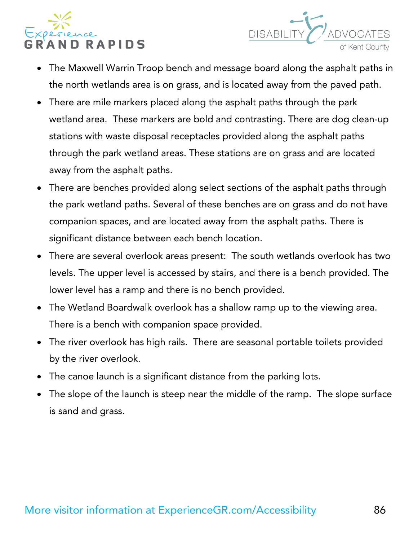



- The Maxwell Warrin Troop bench and message board along the asphalt paths in the north wetlands area is on grass, and is located away from the paved path.
- There are mile markers placed along the asphalt paths through the park wetland area. These markers are bold and contrasting. There are dog clean-up stations with waste disposal receptacles provided along the asphalt paths through the park wetland areas. These stations are on grass and are located away from the asphalt paths.
- There are benches provided along select sections of the asphalt paths through the park wetland paths. Several of these benches are on grass and do not have companion spaces, and are located away from the asphalt paths. There is significant distance between each bench location.
- There are several overlook areas present: The south wetlands overlook has two levels. The upper level is accessed by stairs, and there is a bench provided. The lower level has a ramp and there is no bench provided.
- The Wetland Boardwalk overlook has a shallow ramp up to the viewing area. There is a bench with companion space provided.
- The river overlook has high rails. There are seasonal portable toilets provided by the river overlook.
- The canoe launch is a significant distance from the parking lots.
- The slope of the launch is steep near the middle of the ramp. The slope surface is sand and grass.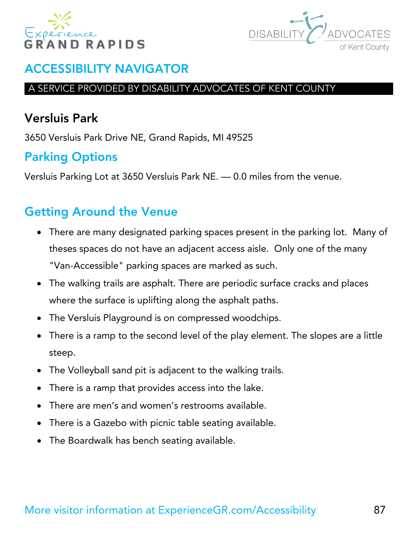



#### A SERVICE PROVIDED BY DISABILITY ADVOCATES OF KENT COUNTY

## Versluis Park

3650 Versluis Park Drive NE, Grand Rapids, MI 49525

# Parking Options

Versluis Parking Lot at 3650 Versluis Park NE. — 0.0 miles from the venue.

- There are many designated parking spaces present in the parking lot. Many of theses spaces do not have an adjacent access aisle. Only one of the many "Van-Accessible" parking spaces are marked as such.
- The walking trails are asphalt. There are periodic surface cracks and places where the surface is uplifting along the asphalt paths.
- The Versluis Playground is on compressed woodchips.
- There is a ramp to the second level of the play element. The slopes are a little steep.
- The Volleyball sand pit is adjacent to the walking trails.
- There is a ramp that provides access into the lake.
- There are men's and women's restrooms available.
- There is a Gazebo with picnic table seating available.
- The Boardwalk has bench seating available.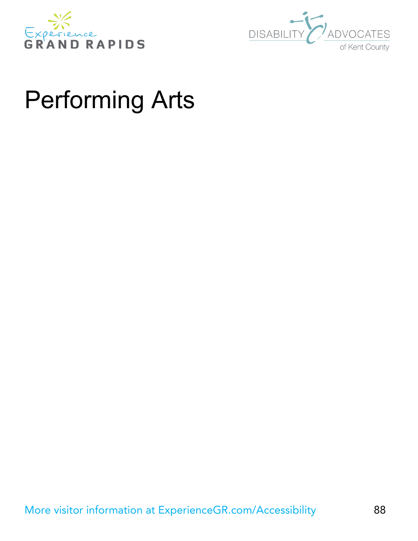



# Performing Arts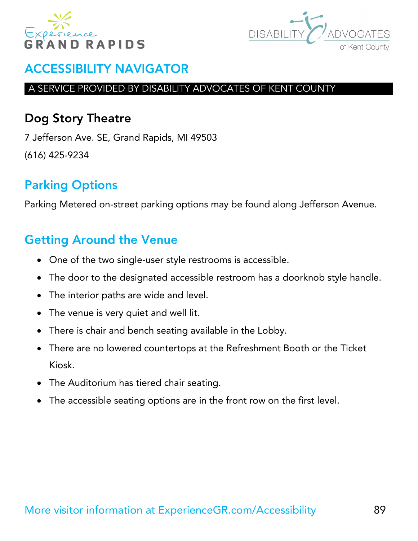



#### A SERVICE PROVIDED BY DISABILITY ADVOCATES OF KENT COUNTY

## Dog Story Theatre

7 Jefferson Ave. SE, Grand Rapids, MI 49503 (616) 425-9234

# Parking Options

Parking Metered on-street parking options may be found along Jefferson Avenue.

- One of the two single-user style restrooms is accessible.
- The door to the designated accessible restroom has a doorknob style handle.
- The interior paths are wide and level.
- The venue is very quiet and well lit.
- There is chair and bench seating available in the Lobby.
- There are no lowered countertops at the Refreshment Booth or the Ticket Kiosk.
- The Auditorium has tiered chair seating.
- The accessible seating options are in the front row on the first level.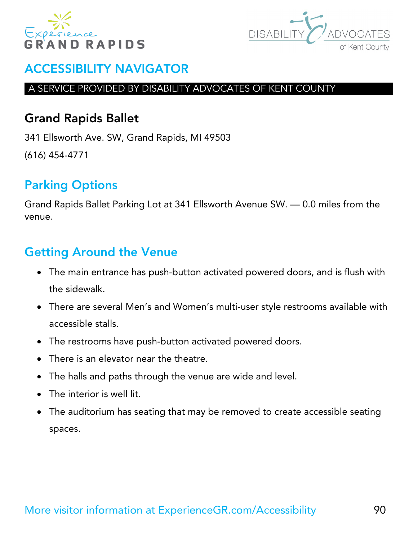



#### A SERVICE PROVIDED BY DISABILITY ADVOCATES OF KENT COUNTY

## Grand Rapids Ballet

341 Ellsworth Ave. SW, Grand Rapids, MI 49503 (616) 454-4771

# Parking Options

Grand Rapids Ballet Parking Lot at 341 Ellsworth Avenue SW. — 0.0 miles from the venue.

- The main entrance has push-button activated powered doors, and is flush with the sidewalk.
- There are several Men's and Women's multi-user style restrooms available with accessible stalls.
- The restrooms have push-button activated powered doors.
- There is an elevator near the theatre.
- The halls and paths through the venue are wide and level.
- The interior is well lit.
- The auditorium has seating that may be removed to create accessible seating spaces.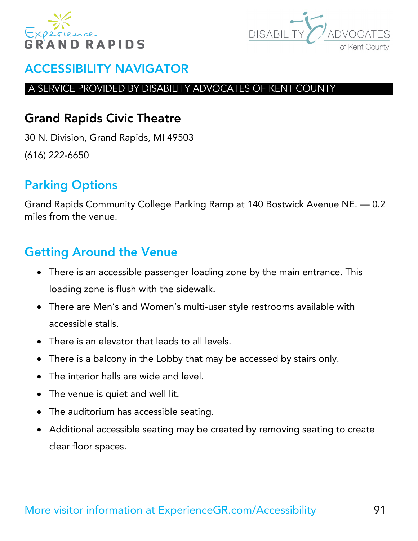



#### A SERVICE PROVIDED BY DISABILITY ADVOCATES OF KENT COUNTY

# Grand Rapids Civic Theatre

30 N. Division, Grand Rapids, MI 49503 (616) 222-6650

# Parking Options

Grand Rapids Community College Parking Ramp at 140 Bostwick Avenue NE. — 0.2 miles from the venue.

- There is an accessible passenger loading zone by the main entrance. This loading zone is flush with the sidewalk.
- There are Men's and Women's multi-user style restrooms available with accessible stalls.
- There is an elevator that leads to all levels.
- There is a balcony in the Lobby that may be accessed by stairs only.
- The interior halls are wide and level.
- The venue is quiet and well lit.
- The auditorium has accessible seating.
- Additional accessible seating may be created by removing seating to create clear floor spaces.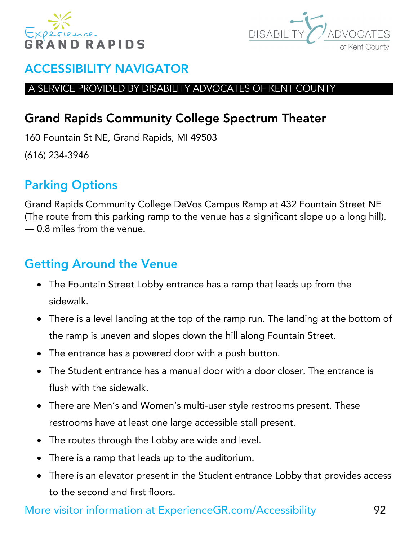



#### A SERVICE PROVIDED BY DISABILITY ADVOCATES OF KENT COUNTY

# Grand Rapids Community College Spectrum Theater

160 Fountain St NE, Grand Rapids, MI 49503

(616) 234-3946

# Parking Options

Grand Rapids Community College DeVos Campus Ramp at 432 Fountain Street NE (The route from this parking ramp to the venue has a significant slope up a long hill). — 0.8 miles from the venue.

# Getting Around the Venue

- The Fountain Street Lobby entrance has a ramp that leads up from the sidewalk.
- There is a level landing at the top of the ramp run. The landing at the bottom of the ramp is uneven and slopes down the hill along Fountain Street.
- The entrance has a powered door with a push button.
- The Student entrance has a manual door with a door closer. The entrance is flush with the sidewalk.
- There are Men's and Women's multi-user style restrooms present. These restrooms have at least one large accessible stall present.
- The routes through the Lobby are wide and level.
- There is a ramp that leads up to the auditorium.
- There is an elevator present in the Student entrance Lobby that provides access to the second and first floors.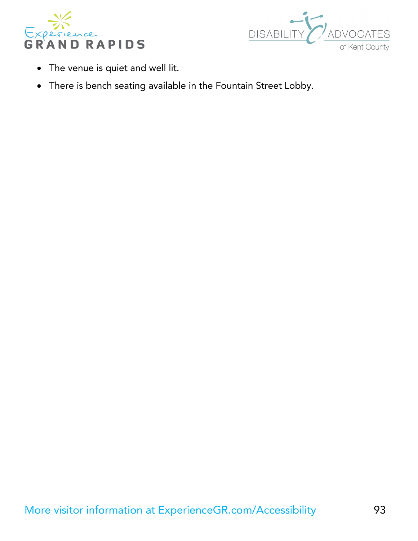



- The venue is quiet and well lit.
- There is bench seating available in the Fountain Street Lobby.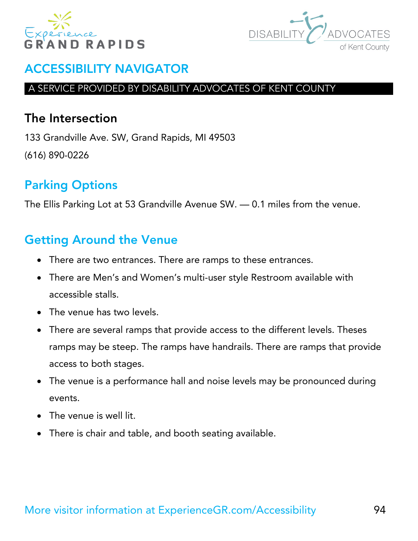



#### A SERVICE PROVIDED BY DISABILITY ADVOCATES OF KENT COUNTY

#### The Intersection

133 Grandville Ave. SW, Grand Rapids, MI 49503 (616) 890-0226

# Parking Options

The Ellis Parking Lot at 53 Grandville Avenue SW. — 0.1 miles from the venue.

- There are two entrances. There are ramps to these entrances.
- There are Men's and Women's multi-user style Restroom available with accessible stalls.
- The venue has two levels.
- There are several ramps that provide access to the different levels. Theses ramps may be steep. The ramps have handrails. There are ramps that provide access to both stages.
- The venue is a performance hall and noise levels may be pronounced during events.
- The venue is well lit.
- There is chair and table, and booth seating available.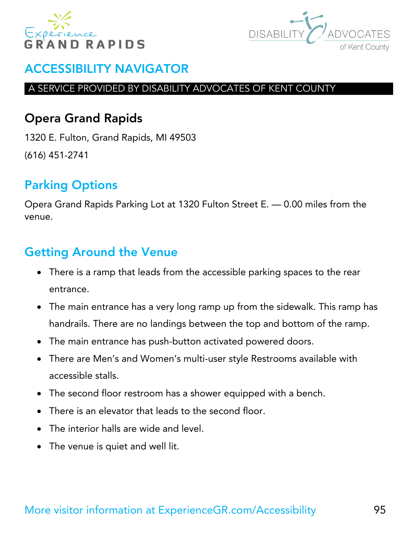



#### A SERVICE PROVIDED BY DISABILITY ADVOCATES OF KENT COUNTY

## Opera Grand Rapids

1320 E. Fulton, Grand Rapids, MI 49503 (616) 451-2741

# Parking Options

Opera Grand Rapids Parking Lot at 1320 Fulton Street E. — 0.00 miles from the venue.

- There is a ramp that leads from the accessible parking spaces to the rear entrance.
- The main entrance has a very long ramp up from the sidewalk. This ramp has handrails. There are no landings between the top and bottom of the ramp.
- The main entrance has push-button activated powered doors.
- There are Men's and Women's multi-user style Restrooms available with accessible stalls.
- The second floor restroom has a shower equipped with a bench.
- There is an elevator that leads to the second floor.
- The interior halls are wide and level.
- The venue is quiet and well lit.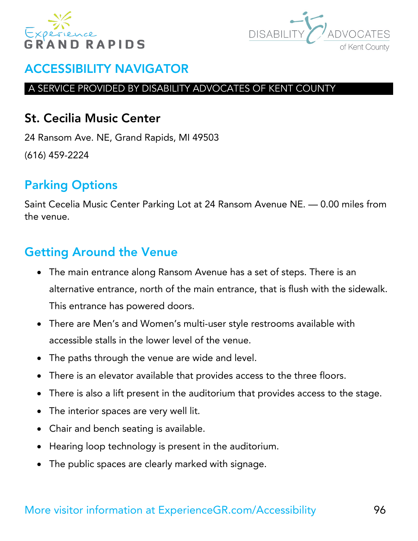



#### A SERVICE PROVIDED BY DISABILITY ADVOCATES OF KENT COUNTY

#### St. Cecilia Music Center

24 Ransom Ave. NE, Grand Rapids, MI 49503 (616) 459-2224

# Parking Options

Saint Cecelia Music Center Parking Lot at 24 Ransom Avenue NE. — 0.00 miles from the venue.

- The main entrance along Ransom Avenue has a set of steps. There is an alternative entrance, north of the main entrance, that is flush with the sidewalk. This entrance has powered doors.
- There are Men's and Women's multi-user style restrooms available with accessible stalls in the lower level of the venue.
- The paths through the venue are wide and level.
- There is an elevator available that provides access to the three floors.
- There is also a lift present in the auditorium that provides access to the stage.
- The interior spaces are very well lit.
- Chair and bench seating is available.
- Hearing loop technology is present in the auditorium.
- The public spaces are clearly marked with signage.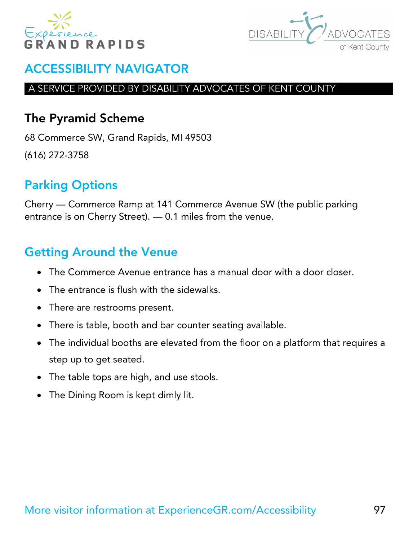



#### A SERVICE PROVIDED BY DISABILITY ADVOCATES OF KENT COUNTY

#### The Pyramid Scheme

68 Commerce SW, Grand Rapids, MI 49503 (616) 272-3758

# Parking Options

Cherry — Commerce Ramp at 141 Commerce Avenue SW (the public parking entrance is on Cherry Street). — 0.1 miles from the venue.

- The Commerce Avenue entrance has a manual door with a door closer.
- The entrance is flush with the sidewalks.
- There are restrooms present.
- There is table, booth and bar counter seating available.
- The individual booths are elevated from the floor on a platform that requires a step up to get seated.
- The table tops are high, and use stools.
- The Dining Room is kept dimly lit.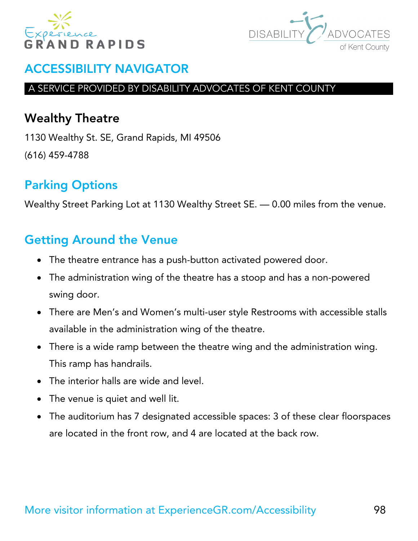



#### A SERVICE PROVIDED BY DISABILITY ADVOCATES OF KENT COUNTY

#### Wealthy Theatre

1130 Wealthy St. SE, Grand Rapids, MI 49506 (616) 459-4788

# Parking Options

Wealthy Street Parking Lot at 1130 Wealthy Street SE. — 0.00 miles from the venue.

- The theatre entrance has a push-button activated powered door.
- The administration wing of the theatre has a stoop and has a non-powered swing door.
- There are Men's and Women's multi-user style Restrooms with accessible stalls available in the administration wing of the theatre.
- There is a wide ramp between the theatre wing and the administration wing. This ramp has handrails.
- The interior halls are wide and level.
- The venue is quiet and well lit.
- The auditorium has 7 designated accessible spaces: 3 of these clear floorspaces are located in the front row, and 4 are located at the back row.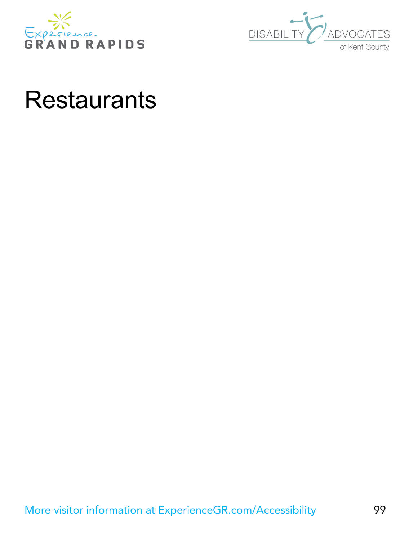



# **Restaurants**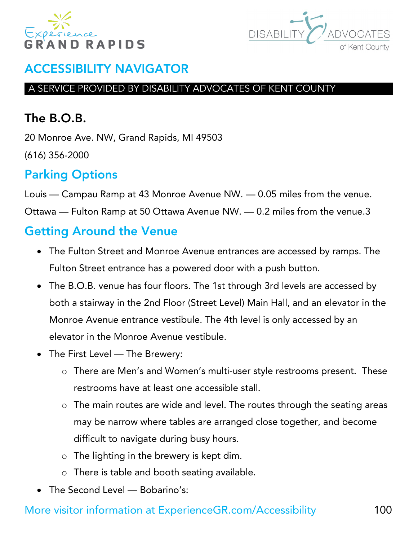



#### A SERVICE PROVIDED BY DISABILITY ADVOCATES OF KENT COUNTY

# The B.O.B.

20 Monroe Ave. NW, Grand Rapids, MI 49503 (616) 356-2000

# Parking Options

Louis — Campau Ramp at 43 Monroe Avenue NW. — 0.05 miles from the venue.

Ottawa — Fulton Ramp at 50 Ottawa Avenue NW. — 0.2 miles from the venue.3

# Getting Around the Venue

- The Fulton Street and Monroe Avenue entrances are accessed by ramps. The Fulton Street entrance has a powered door with a push button.
- The B.O.B. venue has four floors. The 1st through 3rd levels are accessed by both a stairway in the 2nd Floor (Street Level) Main Hall, and an elevator in the Monroe Avenue entrance vestibule. The 4th level is only accessed by an elevator in the Monroe Avenue vestibule.
- The First Level The Brewery:
	- o There are Men's and Women's multi-user style restrooms present. These restrooms have at least one accessible stall.
	- o The main routes are wide and level. The routes through the seating areas may be narrow where tables are arranged close together, and become difficult to navigate during busy hours.
	- o The lighting in the brewery is kept dim.
	- o There is table and booth seating available.
- The Second Level Bobarino's: